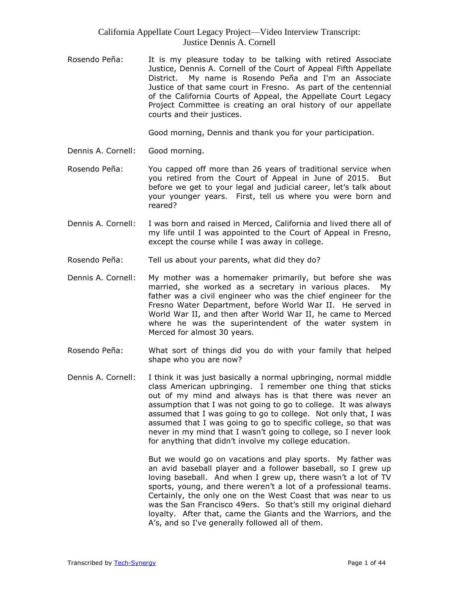Rosendo Peña: It is my pleasure today to be talking with retired Associate Justice, Dennis A. Cornell of the Court of Appeal Fifth Appellate District. My name is Rosendo Peña and I'm an Associate Justice of that same court in Fresno. As part of the centennial of the California Courts of Appeal, the Appellate Court Legacy Project Committee is creating an oral history of our appellate courts and their justices.

Good morning, Dennis and thank you for your participation.

- Dennis A. Cornell: Good morning.
- Rosendo Peña: You capped off more than 26 years of traditional service when you retired from the Court of Appeal in June of 2015. But before we get to your legal and judicial career, let's talk about your younger years. First, tell us where you were born and reared?
- Dennis A. Cornell: I was born and raised in Merced, California and lived there all of my life until I was appointed to the Court of Appeal in Fresno, except the course while I was away in college.
- Rosendo Peña: Tell us about your parents, what did they do?
- Dennis A. Cornell: My mother was a homemaker primarily, but before she was married, she worked as a secretary in various places. My father was a civil engineer who was the chief engineer for the Fresno Water Department, before World War II. He served in World War II, and then after World War II, he came to Merced where he was the superintendent of the water system in Merced for almost 30 years.
- Rosendo Peña: What sort of things did you do with your family that helped shape who you are now?
- Dennis A. Cornell: I think it was just basically a normal upbringing, normal middle class American upbringing. I remember one thing that sticks out of my mind and always has is that there was never an assumption that I was not going to go to college. It was always assumed that I was going to go to college. Not only that, I was assumed that I was going to go to specific college, so that was never in my mind that I wasn't going to college, so I never look for anything that didn't involve my college education.

But we would go on vacations and play sports. My father was an avid baseball player and a follower baseball, so I grew up loving baseball. And when I grew up, there wasn't a lot of TV sports, young, and there weren't a lot of a professional teams. Certainly, the only one on the West Coast that was near to us was the San Francisco 49ers. So that's still my original diehard loyalty. After that, came the Giants and the Warriors, and the A's, and so I've generally followed all of them.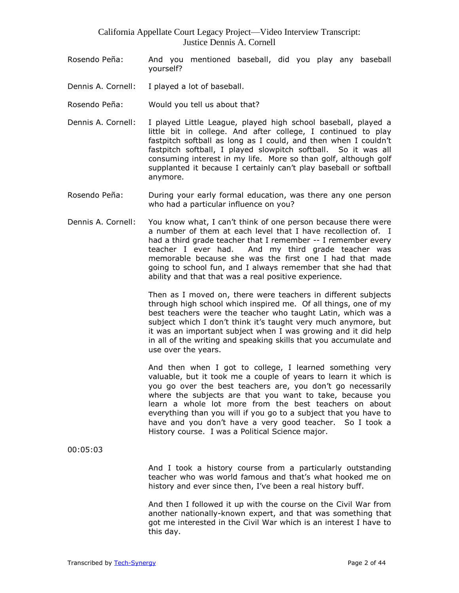- Rosendo Peña: And you mentioned baseball, did you play any baseball yourself?
- Dennis A. Cornell: I played a lot of baseball.
- Rosendo Peña: Would you tell us about that?
- Dennis A. Cornell: I played Little League, played high school baseball, played a little bit in college. And after college, I continued to play fastpitch softball as long as I could, and then when I couldn't fastpitch softball, I played slowpitch softball. So it was all consuming interest in my life. More so than golf, although golf supplanted it because I certainly can't play baseball or softball anymore.
- Rosendo Peña: During your early formal education, was there any one person who had a particular influence on you?
- Dennis A. Cornell: You know what, I can't think of one person because there were a number of them at each level that I have recollection of. I had a third grade teacher that I remember -- I remember every teacher I ever had. And my third grade teacher was memorable because she was the first one I had that made going to school fun, and I always remember that she had that ability and that that was a real positive experience.

Then as I moved on, there were teachers in different subjects through high school which inspired me. Of all things, one of my best teachers were the teacher who taught Latin, which was a subject which I don't think it's taught very much anymore, but it was an important subject when I was growing and it did help in all of the writing and speaking skills that you accumulate and use over the years.

And then when I got to college, I learned something very valuable, but it took me a couple of years to learn it which is you go over the best teachers are, you don't go necessarily where the subjects are that you want to take, because you learn a whole lot more from the best teachers on about everything than you will if you go to a subject that you have to have and you don't have a very good teacher. So I took a History course. I was a Political Science major.

00:05:03

And I took a history course from a particularly outstanding teacher who was world famous and that's what hooked me on history and ever since then, I've been a real history buff.

And then I followed it up with the course on the Civil War from another nationally-known expert, and that was something that got me interested in the Civil War which is an interest I have to this day.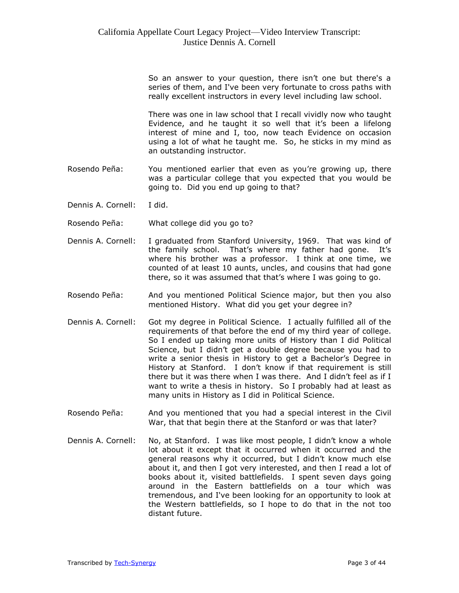So an answer to your question, there isn't one but there's a series of them, and I've been very fortunate to cross paths with really excellent instructors in every level including law school.

There was one in law school that I recall vividly now who taught Evidence, and he taught it so well that it's been a lifelong interest of mine and I, too, now teach Evidence on occasion using a lot of what he taught me. So, he sticks in my mind as an outstanding instructor.

- Rosendo Peña: You mentioned earlier that even as you're growing up, there was a particular college that you expected that you would be going to. Did you end up going to that?
- Dennis A. Cornell: I did.
- Rosendo Peña: What college did you go to?
- Dennis A. Cornell: I graduated from Stanford University, 1969. That was kind of the family school. That's where my father had gone. It's where his brother was a professor. I think at one time, we counted of at least 10 aunts, uncles, and cousins that had gone there, so it was assumed that that's where I was going to go.
- Rosendo Peña: And you mentioned Political Science major, but then you also mentioned History. What did you get your degree in?
- Dennis A. Cornell: Got my degree in Political Science. I actually fulfilled all of the requirements of that before the end of my third year of college. So I ended up taking more units of History than I did Political Science, but I didn't get a double degree because you had to write a senior thesis in History to get a Bachelor's Degree in History at Stanford. I don't know if that requirement is still there but it was there when I was there. And I didn't feel as if I want to write a thesis in history. So I probably had at least as many units in History as I did in Political Science.
- Rosendo Peña: And you mentioned that you had a special interest in the Civil War, that that begin there at the Stanford or was that later?
- Dennis A. Cornell: No, at Stanford. I was like most people, I didn't know a whole lot about it except that it occurred when it occurred and the general reasons why it occurred, but I didn't know much else about it, and then I got very interested, and then I read a lot of books about it, visited battlefields. I spent seven days going around in the Eastern battlefields on a tour which was tremendous, and I've been looking for an opportunity to look at the Western battlefields, so I hope to do that in the not too distant future.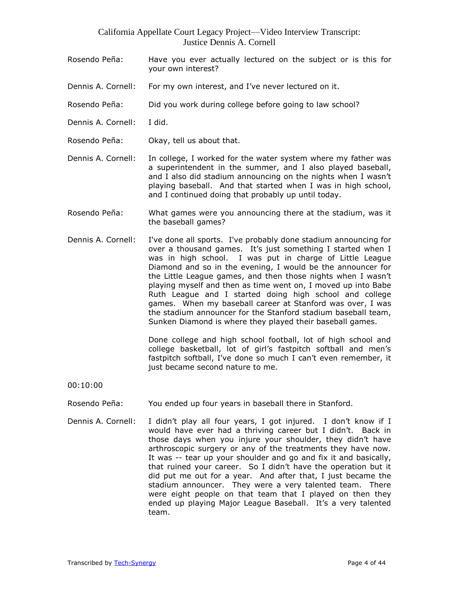- Rosendo Peña: Have you ever actually lectured on the subject or is this for your own interest?
- Dennis A. Cornell: For my own interest, and I've never lectured on it.
- Rosendo Peña: Did you work during college before going to law school?
- Dennis A. Cornell: I did.
- Rosendo Peña: Okay, tell us about that.
- Dennis A. Cornell: In college, I worked for the water system where my father was a superintendent in the summer, and I also played baseball, and I also did stadium announcing on the nights when I wasn't playing baseball. And that started when I was in high school, and I continued doing that probably up until today.
- Rosendo Peña: What games were you announcing there at the stadium, was it the baseball games?
- Dennis A. Cornell: I've done all sports. I've probably done stadium announcing for over a thousand games. It's just something I started when I was in high school. I was put in charge of Little League Diamond and so in the evening, I would be the announcer for the Little League games, and then those nights when I wasn't playing myself and then as time went on, I moved up into Babe Ruth League and I started doing high school and college games. When my baseball career at Stanford was over, I was the stadium announcer for the Stanford stadium baseball team, Sunken Diamond is where they played their baseball games.

Done college and high school football, lot of high school and college basketball, lot of girl's fastpitch softball and men's fastpitch softball, I've done so much I can't even remember, it just became second nature to me.

00:10:00

- Rosendo Peña: You ended up four years in baseball there in Stanford.
- Dennis A. Cornell: I didn't play all four years, I got injured. I don't know if I would have ever had a thriving career but I didn't. Back in those days when you injure your shoulder, they didn't have arthroscopic surgery or any of the treatments they have now. It was -- tear up your shoulder and go and fix it and basically, that ruined your career. So I didn't have the operation but it did put me out for a year. And after that, I just became the stadium announcer. They were a very talented team. There were eight people on that team that I played on then they ended up playing Major League Baseball. It's a very talented team.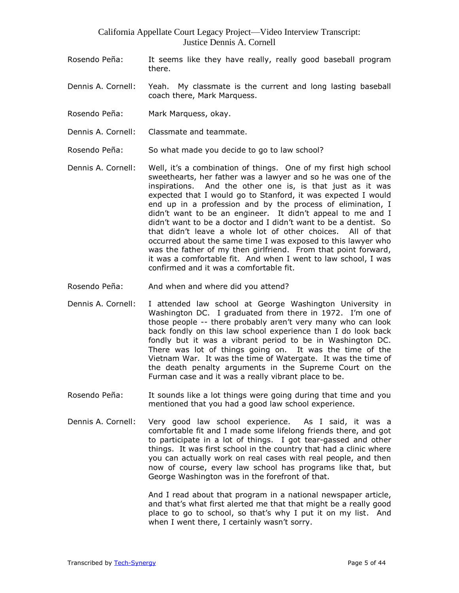- Rosendo Peña: It seems like they have really, really good baseball program there.
- Dennis A. Cornell: Yeah. My classmate is the current and long lasting baseball coach there, Mark Marquess.
- Rosendo Peña: Mark Marquess, okay.
- Dennis A. Cornell: Classmate and teammate.
- Rosendo Peña: So what made you decide to go to law school?
- Dennis A. Cornell: Well, it's a combination of things. One of my first high school sweethearts, her father was a lawyer and so he was one of the inspirations. And the other one is, is that just as it was expected that I would go to Stanford, it was expected I would end up in a profession and by the process of elimination, I didn't want to be an engineer. It didn't appeal to me and I didn't want to be a doctor and I didn't want to be a dentist. So that didn't leave a whole lot of other choices. All of that occurred about the same time I was exposed to this lawyer who was the father of my then girlfriend. From that point forward, it was a comfortable fit. And when I went to law school, I was confirmed and it was a comfortable fit.
- Rosendo Peña: And when and where did you attend?
- Dennis A. Cornell: I attended law school at George Washington University in Washington DC. I graduated from there in 1972. I'm one of those people -- there probably aren't very many who can look back fondly on this law school experience than I do look back fondly but it was a vibrant period to be in Washington DC. There was lot of things going on. It was the time of the Vietnam War. It was the time of Watergate. It was the time of the death penalty arguments in the Supreme Court on the Furman case and it was a really vibrant place to be.
- Rosendo Peña: It sounds like a lot things were going during that time and you mentioned that you had a good law school experience.
- Dennis A. Cornell: Very good law school experience. As I said, it was a comfortable fit and I made some lifelong friends there, and got to participate in a lot of things. I got tear-gassed and other things. It was first school in the country that had a clinic where you can actually work on real cases with real people, and then now of course, every law school has programs like that, but George Washington was in the forefront of that.

And I read about that program in a national newspaper article, and that's what first alerted me that that might be a really good place to go to school, so that's why I put it on my list. And when I went there, I certainly wasn't sorry.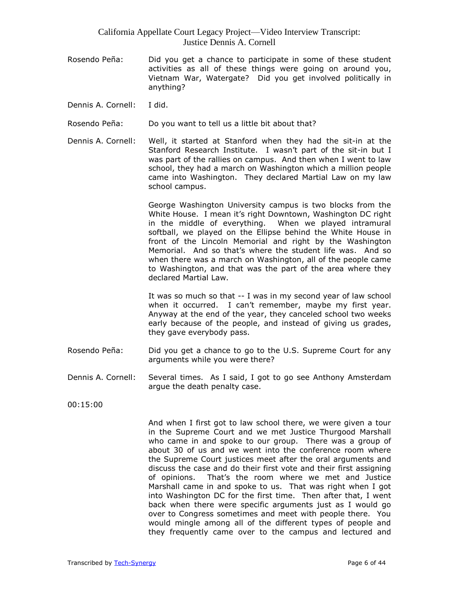- Rosendo Peña: Did you get a chance to participate in some of these student activities as all of these things were going on around you, Vietnam War, Watergate? Did you get involved politically in anything?
- Dennis A. Cornell: I did.
- Rosendo Peña: Do you want to tell us a little bit about that?
- Dennis A. Cornell: Well, it started at Stanford when they had the sit-in at the Stanford Research Institute. I wasn't part of the sit-in but I was part of the rallies on campus. And then when I went to law school, they had a march on Washington which a million people came into Washington. They declared Martial Law on my law school campus.

George Washington University campus is two blocks from the White House. I mean it's right Downtown, Washington DC right in the middle of everything. When we played intramural softball, we played on the Ellipse behind the White House in front of the Lincoln Memorial and right by the Washington Memorial. And so that's where the student life was. And so when there was a march on Washington, all of the people came to Washington, and that was the part of the area where they declared Martial Law.

It was so much so that -- I was in my second year of law school when it occurred. I can't remember, maybe my first year. Anyway at the end of the year, they canceled school two weeks early because of the people, and instead of giving us grades, they gave everybody pass.

- Rosendo Peña: Did you get a chance to go to the U.S. Supreme Court for any arguments while you were there?
- Dennis A. Cornell: Several times. As I said, I got to go see Anthony Amsterdam argue the death penalty case.

00:15:00

And when I first got to law school there, we were given a tour in the Supreme Court and we met Justice Thurgood Marshall who came in and spoke to our group. There was a group of about 30 of us and we went into the conference room where the Supreme Court justices meet after the oral arguments and discuss the case and do their first vote and their first assigning of opinions. That's the room where we met and Justice Marshall came in and spoke to us. That was right when I got into Washington DC for the first time. Then after that, I went back when there were specific arguments just as I would go over to Congress sometimes and meet with people there. You would mingle among all of the different types of people and they frequently came over to the campus and lectured and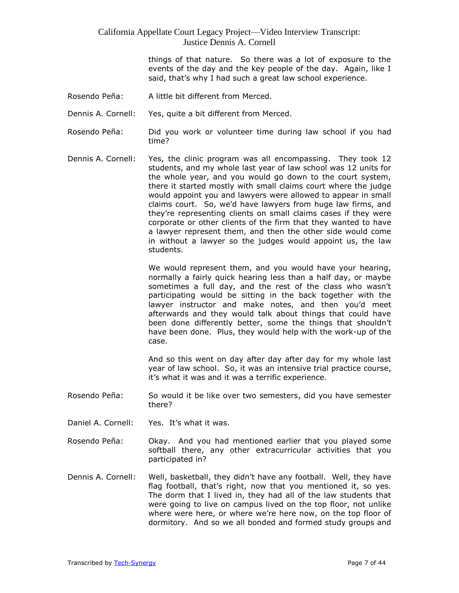things of that nature. So there was a lot of exposure to the events of the day and the key people of the day. Again, like I said, that's why I had such a great law school experience.

- Rosendo Peña: A little bit different from Merced.
- Dennis A. Cornell: Yes, quite a bit different from Merced.
- Rosendo Peña: Did you work or volunteer time during law school if you had time?
- Dennis A. Cornell: Yes, the clinic program was all encompassing. They took 12 students, and my whole last year of law school was 12 units for the whole year, and you would go down to the court system, there it started mostly with small claims court where the judge would appoint you and lawyers were allowed to appear in small claims court. So, we'd have lawyers from huge law firms, and they're representing clients on small claims cases if they were corporate or other clients of the firm that they wanted to have a lawyer represent them, and then the other side would come in without a lawyer so the judges would appoint us, the law students.

We would represent them, and you would have your hearing, normally a fairly quick hearing less than a half day, or maybe sometimes a full day, and the rest of the class who wasn't participating would be sitting in the back together with the lawyer instructor and make notes, and then you'd meet afterwards and they would talk about things that could have been done differently better, some the things that shouldn't have been done. Plus, they would help with the work-up of the case.

And so this went on day after day after day for my whole last year of law school. So, it was an intensive trial practice course, it's what it was and it was a terrific experience.

- Rosendo Peña: So would it be like over two semesters, did you have semester there?
- Daniel A. Cornell: Yes. It's what it was.
- Rosendo Peña: Okay. And you had mentioned earlier that you played some softball there, any other extracurricular activities that you participated in?
- Dennis A. Cornell: Well, basketball, they didn't have any football. Well, they have flag football, that's right, now that you mentioned it, so yes. The dorm that I lived in, they had all of the law students that were going to live on campus lived on the top floor, not unlike where were here, or where we're here now, on the top floor of dormitory. And so we all bonded and formed study groups and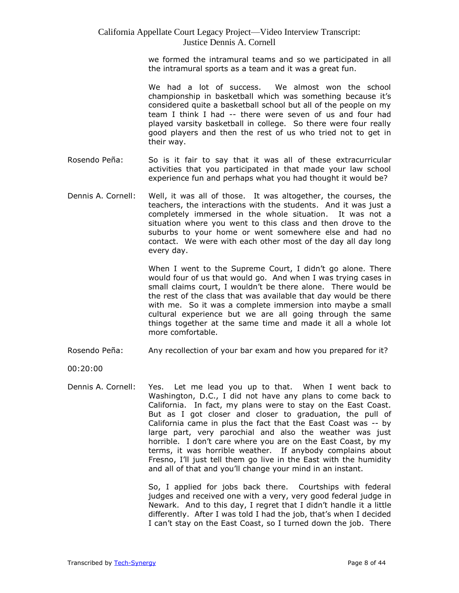we formed the intramural teams and so we participated in all the intramural sports as a team and it was a great fun.

We had a lot of success. We almost won the school championship in basketball which was something because it's considered quite a basketball school but all of the people on my team I think I had -- there were seven of us and four had played varsity basketball in college. So there were four really good players and then the rest of us who tried not to get in their way.

- Rosendo Peña: So is it fair to say that it was all of these extracurricular activities that you participated in that made your law school experience fun and perhaps what you had thought it would be?
- Dennis A. Cornell: Well, it was all of those. It was altogether, the courses, the teachers, the interactions with the students. And it was just a completely immersed in the whole situation. It was not a situation where you went to this class and then drove to the suburbs to your home or went somewhere else and had no contact. We were with each other most of the day all day long every day.

When I went to the Supreme Court, I didn't go alone. There would four of us that would go. And when I was trying cases in small claims court, I wouldn't be there alone. There would be the rest of the class that was available that day would be there with me. So it was a complete immersion into maybe a small cultural experience but we are all going through the same things together at the same time and made it all a whole lot more comfortable.

Rosendo Peña: Any recollection of your bar exam and how you prepared for it?

00:20:00

Dennis A. Cornell: Yes. Let me lead you up to that. When I went back to Washington, D.C., I did not have any plans to come back to California. In fact, my plans were to stay on the East Coast. But as I got closer and closer to graduation, the pull of California came in plus the fact that the East Coast was -- by large part, very parochial and also the weather was just horrible. I don't care where you are on the East Coast, by my terms, it was horrible weather. If anybody complains about Fresno, I'll just tell them go live in the East with the humidity and all of that and you'll change your mind in an instant.

> So, I applied for jobs back there. Courtships with federal judges and received one with a very, very good federal judge in Newark. And to this day, I regret that I didn't handle it a little differently. After I was told I had the job, that's when I decided I can't stay on the East Coast, so I turned down the job. There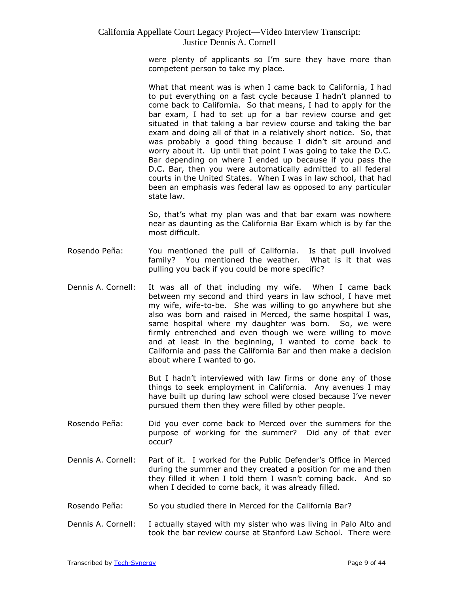were plenty of applicants so I'm sure they have more than competent person to take my place.

What that meant was is when I came back to California, I had to put everything on a fast cycle because I hadn't planned to come back to California. So that means, I had to apply for the bar exam, I had to set up for a bar review course and get situated in that taking a bar review course and taking the bar exam and doing all of that in a relatively short notice. So, that was probably a good thing because I didn't sit around and worry about it. Up until that point I was going to take the D.C. Bar depending on where I ended up because if you pass the D.C. Bar, then you were automatically admitted to all federal courts in the United States. When I was in law school, that had been an emphasis was federal law as opposed to any particular state law.

So, that's what my plan was and that bar exam was nowhere near as daunting as the California Bar Exam which is by far the most difficult.

- Rosendo Peña: You mentioned the pull of California. Is that pull involved family? You mentioned the weather. What is it that was pulling you back if you could be more specific?
- Dennis A. Cornell: It was all of that including my wife. When I came back between my second and third years in law school, I have met my wife, wife-to-be. She was willing to go anywhere but she also was born and raised in Merced, the same hospital I was, same hospital where my daughter was born. So, we were firmly entrenched and even though we were willing to move and at least in the beginning, I wanted to come back to California and pass the California Bar and then make a decision about where I wanted to go.

But I hadn't interviewed with law firms or done any of those things to seek employment in California. Any avenues I may have built up during law school were closed because I've never pursued them then they were filled by other people.

- Rosendo Peña: Did you ever come back to Merced over the summers for the purpose of working for the summer? Did any of that ever occur?
- Dennis A. Cornell: Part of it. I worked for the Public Defender's Office in Merced during the summer and they created a position for me and then they filled it when I told them I wasn't coming back. And so when I decided to come back, it was already filled.
- Rosendo Peña: So you studied there in Merced for the California Bar?
- Dennis A. Cornell: I actually stayed with my sister who was living in Palo Alto and took the bar review course at Stanford Law School. There were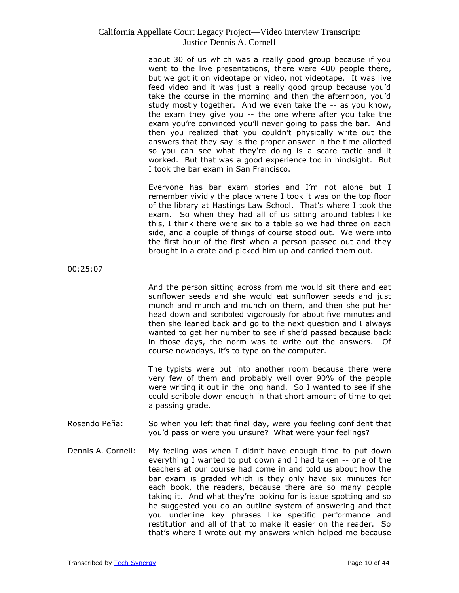about 30 of us which was a really good group because if you went to the live presentations, there were 400 people there, but we got it on videotape or video, not videotape. It was live feed video and it was just a really good group because you'd take the course in the morning and then the afternoon, you'd study mostly together. And we even take the -- as you know, the exam they give you -- the one where after you take the exam you're convinced you'll never going to pass the bar. And then you realized that you couldn't physically write out the answers that they say is the proper answer in the time allotted so you can see what they're doing is a scare tactic and it worked. But that was a good experience too in hindsight. But I took the bar exam in San Francisco.

Everyone has bar exam stories and I'm not alone but I remember vividly the place where I took it was on the top floor of the library at Hastings Law School. That's where I took the exam. So when they had all of us sitting around tables like this, I think there were six to a table so we had three on each side, and a couple of things of course stood out. We were into the first hour of the first when a person passed out and they brought in a crate and picked him up and carried them out.

00:25:07

And the person sitting across from me would sit there and eat sunflower seeds and she would eat sunflower seeds and just munch and munch and munch on them, and then she put her head down and scribbled vigorously for about five minutes and then she leaned back and go to the next question and I always wanted to get her number to see if she'd passed because back in those days, the norm was to write out the answers. Of course nowadays, it's to type on the computer.

The typists were put into another room because there were very few of them and probably well over 90% of the people were writing it out in the long hand. So I wanted to see if she could scribble down enough in that short amount of time to get a passing grade.

- Rosendo Peña: So when you left that final day, were you feeling confident that you'd pass or were you unsure? What were your feelings?
- Dennis A. Cornell: My feeling was when I didn't have enough time to put down everything I wanted to put down and I had taken -- one of the teachers at our course had come in and told us about how the bar exam is graded which is they only have six minutes for each book, the readers, because there are so many people taking it. And what they're looking for is issue spotting and so he suggested you do an outline system of answering and that you underline key phrases like specific performance and restitution and all of that to make it easier on the reader. So that's where I wrote out my answers which helped me because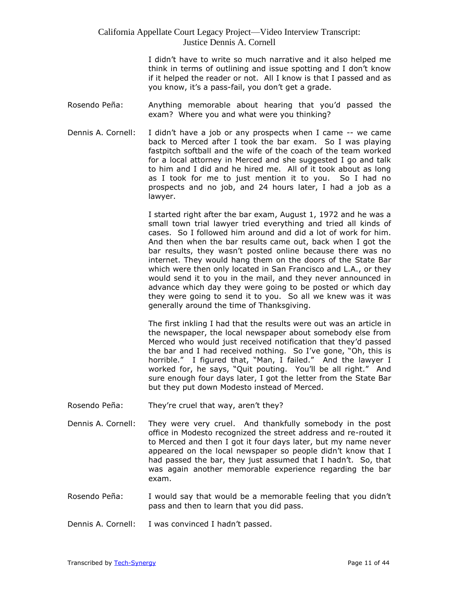I didn't have to write so much narrative and it also helped me think in terms of outlining and issue spotting and I don't know if it helped the reader or not. All I know is that I passed and as you know, it's a pass-fail, you don't get a grade.

- Rosendo Peña: Anything memorable about hearing that you'd passed the exam? Where you and what were you thinking?
- Dennis A. Cornell: I didn't have a job or any prospects when I came -- we came back to Merced after I took the bar exam. So I was playing fastpitch softball and the wife of the coach of the team worked for a local attorney in Merced and she suggested I go and talk to him and I did and he hired me. All of it took about as long as I took for me to just mention it to you. So I had no prospects and no job, and 24 hours later, I had a job as a lawyer.

I started right after the bar exam, August 1, 1972 and he was a small town trial lawyer tried everything and tried all kinds of cases. So I followed him around and did a lot of work for him. And then when the bar results came out, back when I got the bar results, they wasn't posted online because there was no internet. They would hang them on the doors of the State Bar which were then only located in San Francisco and L.A., or they would send it to you in the mail, and they never announced in advance which day they were going to be posted or which day they were going to send it to you. So all we knew was it was generally around the time of Thanksgiving.

The first inkling I had that the results were out was an article in the newspaper, the local newspaper about somebody else from Merced who would just received notification that they'd passed the bar and I had received nothing. So I've gone, "Oh, this is horrible." I figured that, "Man, I failed." And the lawyer I worked for, he says, "Quit pouting. You'll be all right." And sure enough four days later, I got the letter from the State Bar but they put down Modesto instead of Merced.

- Rosendo Peña: They're cruel that way, aren't they?
- Dennis A. Cornell: They were very cruel. And thankfully somebody in the post office in Modesto recognized the street address and re-routed it to Merced and then I got it four days later, but my name never appeared on the local newspaper so people didn't know that I had passed the bar, they just assumed that I hadn't. So, that was again another memorable experience regarding the bar exam.
- Rosendo Peña: I would say that would be a memorable feeling that you didn't pass and then to learn that you did pass.
- Dennis A. Cornell: I was convinced I hadn't passed.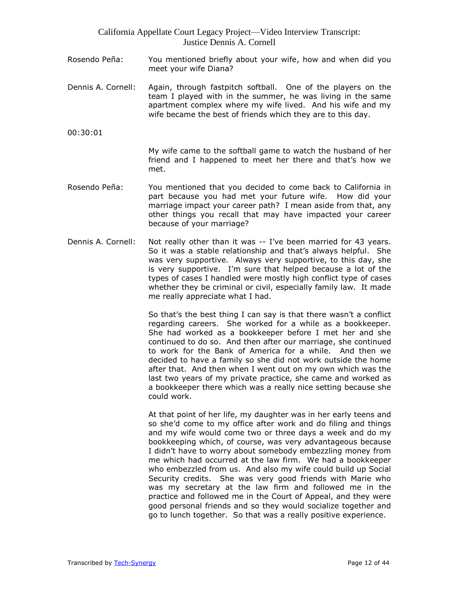- Rosendo Peña: You mentioned briefly about your wife, how and when did you meet your wife Diana?
- Dennis A. Cornell: Again, through fastpitch softball. One of the players on the team I played with in the summer, he was living in the same apartment complex where my wife lived. And his wife and my wife became the best of friends which they are to this day.
- 00:30:01

My wife came to the softball game to watch the husband of her friend and I happened to meet her there and that's how we met.

- Rosendo Peña: You mentioned that you decided to come back to California in part because you had met your future wife. How did your marriage impact your career path? I mean aside from that, any other things you recall that may have impacted your career because of your marriage?
- Dennis A. Cornell: Not really other than it was -- I've been married for 43 years. So it was a stable relationship and that's always helpful. She was very supportive. Always very supportive, to this day, she is very supportive. I'm sure that helped because a lot of the types of cases I handled were mostly high conflict type of cases whether they be criminal or civil, especially family law. It made me really appreciate what I had.

So that's the best thing I can say is that there wasn't a conflict regarding careers. She worked for a while as a bookkeeper. She had worked as a bookkeeper before I met her and she continued to do so. And then after our marriage, she continued to work for the Bank of America for a while. And then we decided to have a family so she did not work outside the home after that. And then when I went out on my own which was the last two years of my private practice, she came and worked as a bookkeeper there which was a really nice setting because she could work.

At that point of her life, my daughter was in her early teens and so she'd come to my office after work and do filing and things and my wife would come two or three days a week and do my bookkeeping which, of course, was very advantageous because I didn't have to worry about somebody embezzling money from me which had occurred at the law firm. We had a bookkeeper who embezzled from us. And also my wife could build up Social Security credits. She was very good friends with Marie who was my secretary at the law firm and followed me in the practice and followed me in the Court of Appeal, and they were good personal friends and so they would socialize together and go to lunch together. So that was a really positive experience.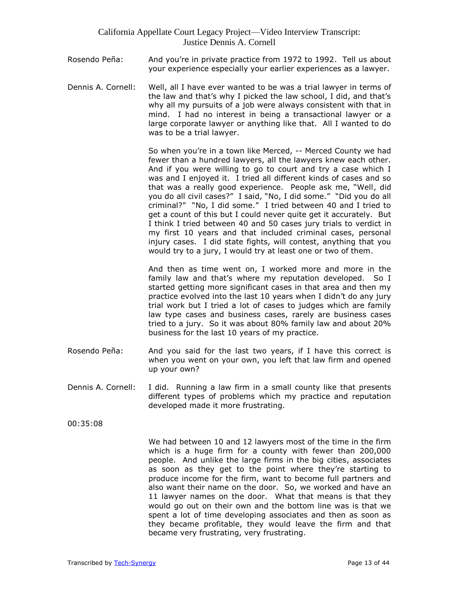- Rosendo Peña: And you're in private practice from 1972 to 1992. Tell us about your experience especially your earlier experiences as a lawyer.
- Dennis A. Cornell: Well, all I have ever wanted to be was a trial lawyer in terms of the law and that's why I picked the law school, I did, and that's why all my pursuits of a job were always consistent with that in mind. I had no interest in being a transactional lawyer or a large corporate lawyer or anything like that. All I wanted to do was to be a trial lawyer.

So when you're in a town like Merced, -- Merced County we had fewer than a hundred lawyers, all the lawyers knew each other. And if you were willing to go to court and try a case which I was and I enjoyed it. I tried all different kinds of cases and so that was a really good experience. People ask me, "Well, did you do all civil cases?" I said, "No, I did some." "Did you do all criminal?" "No, I did some." I tried between 40 and I tried to get a count of this but I could never quite get it accurately. But I think I tried between 40 and 50 cases jury trials to verdict in my first 10 years and that included criminal cases, personal injury cases. I did state fights, will contest, anything that you would try to a jury, I would try at least one or two of them.

And then as time went on, I worked more and more in the family law and that's where my reputation developed. So I started getting more significant cases in that area and then my practice evolved into the last 10 years when I didn't do any jury trial work but I tried a lot of cases to judges which are family law type cases and business cases, rarely are business cases tried to a jury. So it was about 80% family law and about 20% business for the last 10 years of my practice.

- Rosendo Peña: And you said for the last two years, if I have this correct is when you went on your own, you left that law firm and opened up your own?
- Dennis A. Cornell: I did. Running a law firm in a small county like that presents different types of problems which my practice and reputation developed made it more frustrating.
- 00:35:08

We had between 10 and 12 lawyers most of the time in the firm which is a huge firm for a county with fewer than 200,000 people. And unlike the large firms in the big cities, associates as soon as they get to the point where they're starting to produce income for the firm, want to become full partners and also want their name on the door. So, we worked and have an 11 lawyer names on the door. What that means is that they would go out on their own and the bottom line was is that we spent a lot of time developing associates and then as soon as they became profitable, they would leave the firm and that became very frustrating, very frustrating.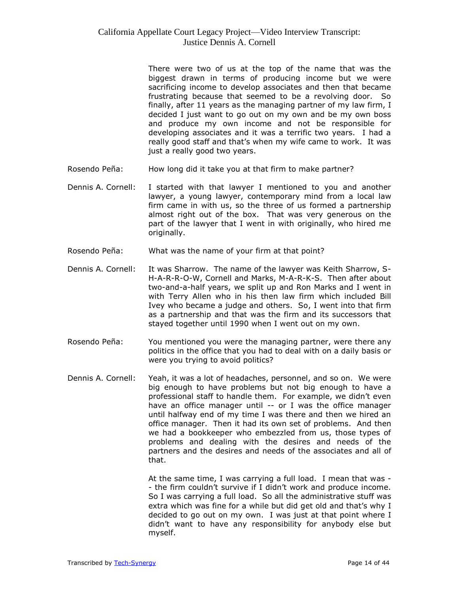There were two of us at the top of the name that was the biggest drawn in terms of producing income but we were sacrificing income to develop associates and then that became frustrating because that seemed to be a revolving door. So finally, after 11 years as the managing partner of my law firm, I decided I just want to go out on my own and be my own boss and produce my own income and not be responsible for developing associates and it was a terrific two years. I had a really good staff and that's when my wife came to work. It was just a really good two years.

- Rosendo Peña: How long did it take you at that firm to make partner?
- Dennis A. Cornell: I started with that lawyer I mentioned to you and another lawyer, a young lawyer, contemporary mind from a local law firm came in with us, so the three of us formed a partnership almost right out of the box. That was very generous on the part of the lawyer that I went in with originally, who hired me originally.
- Rosendo Peña: What was the name of your firm at that point?
- Dennis A. Cornell: It was Sharrow. The name of the lawyer was Keith Sharrow, S-H-A-R-R-O-W, Cornell and Marks, M-A-R-K-S. Then after about two-and-a-half years, we split up and Ron Marks and I went in with Terry Allen who in his then law firm which included Bill Ivey who became a judge and others. So, I went into that firm as a partnership and that was the firm and its successors that stayed together until 1990 when I went out on my own.
- Rosendo Peña: You mentioned you were the managing partner, were there any politics in the office that you had to deal with on a daily basis or were you trying to avoid politics?
- Dennis A. Cornell: Yeah, it was a lot of headaches, personnel, and so on. We were big enough to have problems but not big enough to have a professional staff to handle them. For example, we didn't even have an office manager until -- or I was the office manager until halfway end of my time I was there and then we hired an office manager. Then it had its own set of problems. And then we had a bookkeeper who embezzled from us, those types of problems and dealing with the desires and needs of the partners and the desires and needs of the associates and all of that.

At the same time, I was carrying a full load. I mean that was - - the firm couldn't survive if I didn't work and produce income. So I was carrying a full load. So all the administrative stuff was extra which was fine for a while but did get old and that's why I decided to go out on my own. I was just at that point where I didn't want to have any responsibility for anybody else but myself.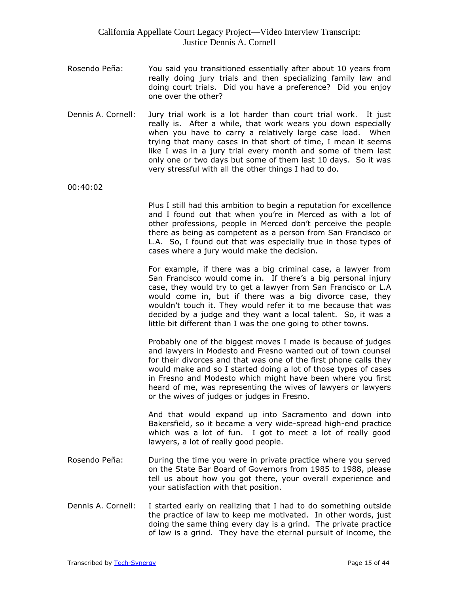- Rosendo Peña: You said you transitioned essentially after about 10 years from really doing jury trials and then specializing family law and doing court trials. Did you have a preference? Did you enjoy one over the other?
- Dennis A. Cornell: Jury trial work is a lot harder than court trial work. It just really is. After a while, that work wears you down especially when you have to carry a relatively large case load. When trying that many cases in that short of time, I mean it seems like I was in a jury trial every month and some of them last only one or two days but some of them last 10 days. So it was very stressful with all the other things I had to do.

00:40:02

Plus I still had this ambition to begin a reputation for excellence and I found out that when you're in Merced as with a lot of other professions, people in Merced don't perceive the people there as being as competent as a person from San Francisco or L.A. So, I found out that was especially true in those types of cases where a jury would make the decision.

For example, if there was a big criminal case, a lawyer from San Francisco would come in. If there's a big personal injury case, they would try to get a lawyer from San Francisco or L.A would come in, but if there was a big divorce case, they wouldn't touch it. They would refer it to me because that was decided by a judge and they want a local talent. So, it was a little bit different than I was the one going to other towns.

Probably one of the biggest moves I made is because of judges and lawyers in Modesto and Fresno wanted out of town counsel for their divorces and that was one of the first phone calls they would make and so I started doing a lot of those types of cases in Fresno and Modesto which might have been where you first heard of me, was representing the wives of lawyers or lawyers or the wives of judges or judges in Fresno.

And that would expand up into Sacramento and down into Bakersfield, so it became a very wide-spread high-end practice which was a lot of fun. I got to meet a lot of really good lawyers, a lot of really good people.

- Rosendo Peña: During the time you were in private practice where you served on the State Bar Board of Governors from 1985 to 1988, please tell us about how you got there, your overall experience and your satisfaction with that position.
- Dennis A. Cornell: I started early on realizing that I had to do something outside the practice of law to keep me motivated. In other words, just doing the same thing every day is a grind. The private practice of law is a grind. They have the eternal pursuit of income, the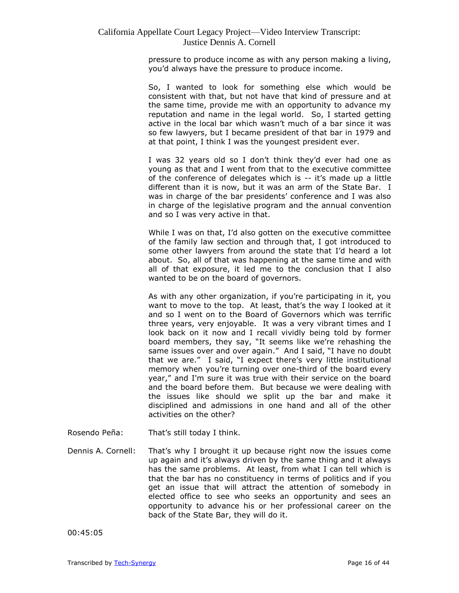pressure to produce income as with any person making a living, you'd always have the pressure to produce income.

So, I wanted to look for something else which would be consistent with that, but not have that kind of pressure and at the same time, provide me with an opportunity to advance my reputation and name in the legal world. So, I started getting active in the local bar which wasn't much of a bar since it was so few lawyers, but I became president of that bar in 1979 and at that point, I think I was the youngest president ever.

I was 32 years old so I don't think they'd ever had one as young as that and I went from that to the executive committee of the conference of delegates which is -- it's made up a little different than it is now, but it was an arm of the State Bar. I was in charge of the bar presidents' conference and I was also in charge of the legislative program and the annual convention and so I was very active in that.

While I was on that, I'd also gotten on the executive committee of the family law section and through that, I got introduced to some other lawyers from around the state that I'd heard a lot about. So, all of that was happening at the same time and with all of that exposure, it led me to the conclusion that I also wanted to be on the board of governors.

As with any other organization, if you're participating in it, you want to move to the top. At least, that's the way I looked at it and so I went on to the Board of Governors which was terrific three years, very enjoyable. It was a very vibrant times and I look back on it now and I recall vividly being told by former board members, they say, "It seems like we're rehashing the same issues over and over again." And I said, "I have no doubt that we are." I said, "I expect there's very little institutional memory when you're turning over one-third of the board every year," and I'm sure it was true with their service on the board and the board before them. But because we were dealing with the issues like should we split up the bar and make it disciplined and admissions in one hand and all of the other activities on the other?

Rosendo Peña: That's still today I think.

Dennis A. Cornell: That's why I brought it up because right now the issues come up again and it's always driven by the same thing and it always has the same problems. At least, from what I can tell which is that the bar has no constituency in terms of politics and if you get an issue that will attract the attention of somebody in elected office to see who seeks an opportunity and sees an opportunity to advance his or her professional career on the back of the State Bar, they will do it.

00:45:05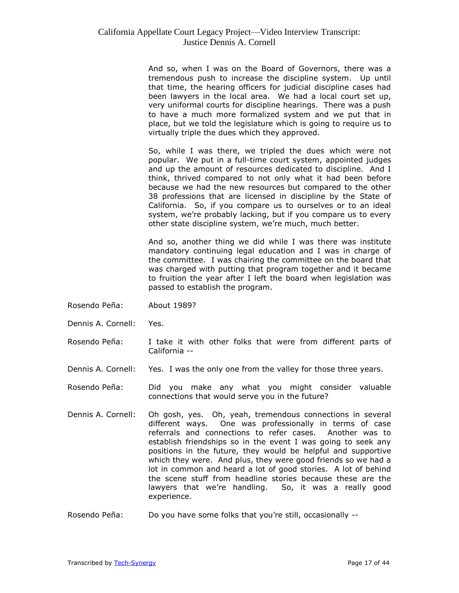And so, when I was on the Board of Governors, there was a tremendous push to increase the discipline system. Up until that time, the hearing officers for judicial discipline cases had been lawyers in the local area. We had a local court set up, very uniformal courts for discipline hearings. There was a push to have a much more formalized system and we put that in place, but we told the legislature which is going to require us to virtually triple the dues which they approved.

So, while I was there, we tripled the dues which were not popular. We put in a full-time court system, appointed judges and up the amount of resources dedicated to discipline. And I think, thrived compared to not only what it had been before because we had the new resources but compared to the other 38 professions that are licensed in discipline by the State of California. So, if you compare us to ourselves or to an ideal system, we're probably lacking, but if you compare us to every other state discipline system, we're much, much better.

And so, another thing we did while I was there was institute mandatory continuing legal education and I was in charge of the committee. I was chairing the committee on the board that was charged with putting that program together and it became to fruition the year after I left the board when legislation was passed to establish the program.

- Rosendo Peña: About 1989?
- Dennis A. Cornell: Yes.
- Rosendo Peña: I take it with other folks that were from different parts of California --
- Dennis A. Cornell: Yes. I was the only one from the valley for those three years.
- Rosendo Peña: Did you make any what you might consider valuable connections that would serve you in the future?
- Dennis A. Cornell: Oh gosh, yes. Oh, yeah, tremendous connections in several different ways. One was professionally in terms of case referrals and connections to refer cases. Another was to establish friendships so in the event I was going to seek any positions in the future, they would be helpful and supportive which they were. And plus, they were good friends so we had a lot in common and heard a lot of good stories. A lot of behind the scene stuff from headline stories because these are the lawyers that we're handling. So, it was a really good experience.
- Rosendo Peña: Do you have some folks that you're still, occasionally --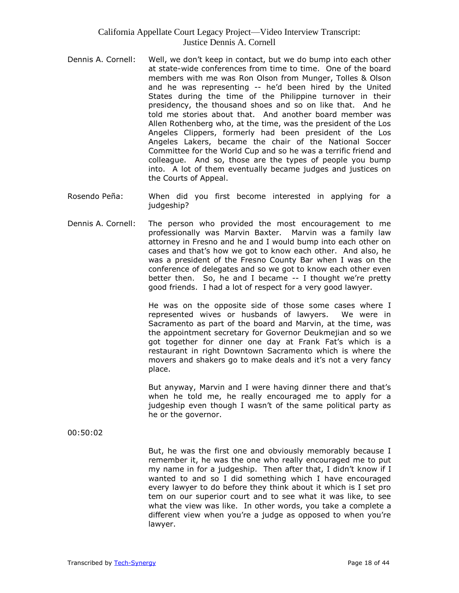- Dennis A. Cornell: Well, we don't keep in contact, but we do bump into each other at state-wide conferences from time to time. One of the board members with me was Ron Olson from Munger, Tolles & Olson and he was representing -- he'd been hired by the United States during the time of the Philippine turnover in their presidency, the thousand shoes and so on like that. And he told me stories about that. And another board member was Allen Rothenberg who, at the time, was the president of the Los Angeles Clippers, formerly had been president of the Los Angeles Lakers, became the chair of the National Soccer Committee for the World Cup and so he was a terrific friend and colleague. And so, those are the types of people you bump into. A lot of them eventually became judges and justices on the Courts of Appeal.
- Rosendo Peña: When did you first become interested in applying for a judgeship?
- Dennis A. Cornell: The person who provided the most encouragement to me professionally was Marvin Baxter. Marvin was a family law attorney in Fresno and he and I would bump into each other on cases and that's how we got to know each other. And also, he was a president of the Fresno County Bar when I was on the conference of delegates and so we got to know each other even better then. So, he and I became -- I thought we're pretty good friends. I had a lot of respect for a very good lawyer.

He was on the opposite side of those some cases where I represented wives or husbands of lawyers. We were in Sacramento as part of the board and Marvin, at the time, was the appointment secretary for Governor Deukmejian and so we got together for dinner one day at Frank Fat's which is a restaurant in right Downtown Sacramento which is where the movers and shakers go to make deals and it's not a very fancy place.

But anyway, Marvin and I were having dinner there and that's when he told me, he really encouraged me to apply for a judgeship even though I wasn't of the same political party as he or the governor.

00:50:02

But, he was the first one and obviously memorably because I remember it, he was the one who really encouraged me to put my name in for a judgeship. Then after that, I didn't know if I wanted to and so I did something which I have encouraged every lawyer to do before they think about it which is I set pro tem on our superior court and to see what it was like, to see what the view was like. In other words, you take a complete a different view when you're a judge as opposed to when you're lawyer.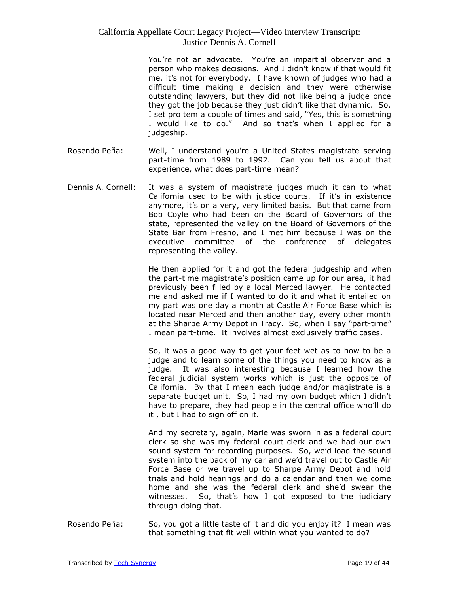You're not an advocate. You're an impartial observer and a person who makes decisions. And I didn't know if that would fit me, it's not for everybody. I have known of judges who had a difficult time making a decision and they were otherwise outstanding lawyers, but they did not like being a judge once they got the job because they just didn't like that dynamic. So, I set pro tem a couple of times and said, "Yes, this is something I would like to do." And so that's when I applied for a judgeship.

- Rosendo Peña: Well, I understand you're a United States magistrate serving part-time from 1989 to 1992. Can you tell us about that experience, what does part-time mean?
- Dennis A. Cornell: It was a system of magistrate judges much it can to what California used to be with justice courts. If it's in existence anymore, it's on a very, very limited basis. But that came from Bob Coyle who had been on the Board of Governors of the state, represented the valley on the Board of Governors of the State Bar from Fresno, and I met him because I was on the executive committee of the conference of delegates representing the valley.

He then applied for it and got the federal judgeship and when the part-time magistrate's position came up for our area, it had previously been filled by a local Merced lawyer. He contacted me and asked me if I wanted to do it and what it entailed on my part was one day a month at Castle Air Force Base which is located near Merced and then another day, every other month at the Sharpe Army Depot in Tracy. So, when I say "part-time" I mean part-time. It involves almost exclusively traffic cases.

So, it was a good way to get your feet wet as to how to be a judge and to learn some of the things you need to know as a judge. It was also interesting because I learned how the federal judicial system works which is just the opposite of California. By that I mean each judge and/or magistrate is a separate budget unit. So, I had my own budget which I didn't have to prepare, they had people in the central office who'll do it , but I had to sign off on it.

And my secretary, again, Marie was sworn in as a federal court clerk so she was my federal court clerk and we had our own sound system for recording purposes. So, we'd load the sound system into the back of my car and we'd travel out to Castle Air Force Base or we travel up to Sharpe Army Depot and hold trials and hold hearings and do a calendar and then we come home and she was the federal clerk and she'd swear the witnesses. So, that's how I got exposed to the judiciary through doing that.

Rosendo Peña: So, you got a little taste of it and did you enjoy it? I mean was that something that fit well within what you wanted to do?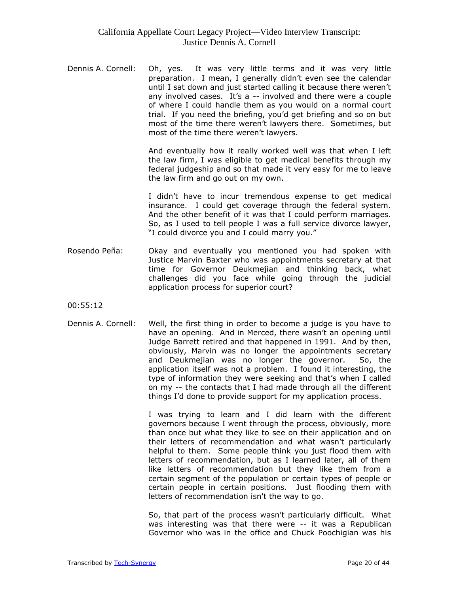Dennis A. Cornell: Oh, yes. It was very little terms and it was very little preparation. I mean, I generally didn't even see the calendar until I sat down and just started calling it because there weren't any involved cases. It's a -- involved and there were a couple of where I could handle them as you would on a normal court trial. If you need the briefing, you'd get briefing and so on but most of the time there weren't lawyers there. Sometimes, but most of the time there weren't lawyers.

> And eventually how it really worked well was that when I left the law firm, I was eligible to get medical benefits through my federal judgeship and so that made it very easy for me to leave the law firm and go out on my own.

> I didn't have to incur tremendous expense to get medical insurance. I could get coverage through the federal system. And the other benefit of it was that I could perform marriages. So, as I used to tell people I was a full service divorce lawyer, "I could divorce you and I could marry you."

Rosendo Peña: Okay and eventually you mentioned you had spoken with Justice Marvin Baxter who was appointments secretary at that time for Governor Deukmejian and thinking back, what challenges did you face while going through the judicial application process for superior court?

00:55:12

Dennis A. Cornell: Well, the first thing in order to become a judge is you have to have an opening. And in Merced, there wasn't an opening until Judge Barrett retired and that happened in 1991. And by then, obviously, Marvin was no longer the appointments secretary and Deukmejian was no longer the governor. So, the application itself was not a problem. I found it interesting, the type of information they were seeking and that's when I called on my -- the contacts that I had made through all the different things I'd done to provide support for my application process.

> I was trying to learn and I did learn with the different governors because I went through the process, obviously, more than once but what they like to see on their application and on their letters of recommendation and what wasn't particularly helpful to them. Some people think you just flood them with letters of recommendation, but as I learned later, all of them like letters of recommendation but they like them from a certain segment of the population or certain types of people or certain people in certain positions. Just flooding them with letters of recommendation isn't the way to go.

> So, that part of the process wasn't particularly difficult. What was interesting was that there were -- it was a Republican Governor who was in the office and Chuck Poochigian was his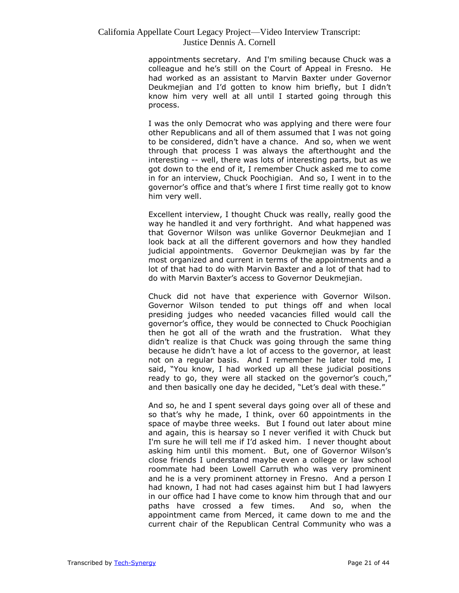appointments secretary. And I'm smiling because Chuck was a colleague and he's still on the Court of Appeal in Fresno. He had worked as an assistant to Marvin Baxter under Governor Deukmejian and I'd gotten to know him briefly, but I didn't know him very well at all until I started going through this process.

I was the only Democrat who was applying and there were four other Republicans and all of them assumed that I was not going to be considered, didn't have a chance. And so, when we went through that process I was always the afterthought and the interesting -- well, there was lots of interesting parts, but as we got down to the end of it, I remember Chuck asked me to come in for an interview, Chuck Poochigian. And so, I went in to the governor's office and that's where I first time really got to know him very well.

Excellent interview, I thought Chuck was really, really good the way he handled it and very forthright. And what happened was that Governor Wilson was unlike Governor Deukmejian and I look back at all the different governors and how they handled judicial appointments. Governor Deukmejian was by far the most organized and current in terms of the appointments and a lot of that had to do with Marvin Baxter and a lot of that had to do with Marvin Baxter's access to Governor Deukmejian.

Chuck did not have that experience with Governor Wilson. Governor Wilson tended to put things off and when local presiding judges who needed vacancies filled would call the governor's office, they would be connected to Chuck Poochigian then he got all of the wrath and the frustration. What they didn't realize is that Chuck was going through the same thing because he didn't have a lot of access to the governor, at least not on a regular basis. And I remember he later told me, I said, "You know, I had worked up all these judicial positions ready to go, they were all stacked on the governor's couch," and then basically one day he decided, "Let's deal with these."

And so, he and I spent several days going over all of these and so that's why he made, I think, over 60 appointments in the space of maybe three weeks. But I found out later about mine and again, this is hearsay so I never verified it with Chuck but I'm sure he will tell me if I'd asked him. I never thought about asking him until this moment. But, one of Governor Wilson's close friends I understand maybe even a college or law school roommate had been Lowell Carruth who was very prominent and he is a very prominent attorney in Fresno. And a person I had known, I had not had cases against him but I had lawyers in our office had I have come to know him through that and our paths have crossed a few times. And so, when the appointment came from Merced, it came down to me and the current chair of the Republican Central Community who was a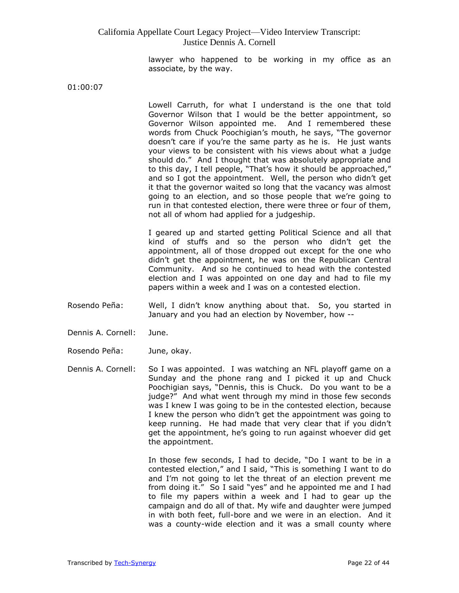lawyer who happened to be working in my office as an associate, by the way.

01:00:07

Lowell Carruth, for what I understand is the one that told Governor Wilson that I would be the better appointment, so Governor Wilson appointed me. And I remembered these words from Chuck Poochigian's mouth, he says, "The governor doesn't care if you're the same party as he is. He just wants your views to be consistent with his views about what a judge should do." And I thought that was absolutely appropriate and to this day, I tell people, "That's how it should be approached," and so I got the appointment. Well, the person who didn't get it that the governor waited so long that the vacancy was almost going to an election, and so those people that we're going to run in that contested election, there were three or four of them, not all of whom had applied for a judgeship.

I geared up and started getting Political Science and all that kind of stuffs and so the person who didn't get the appointment, all of those dropped out except for the one who didn't get the appointment, he was on the Republican Central Community. And so he continued to head with the contested election and I was appointed on one day and had to file my papers within a week and I was on a contested election.

- Rosendo Peña: Well, I didn't know anything about that. So, you started in January and you had an election by November, how --
- Dennis A. Cornell: June.
- Rosendo Peña: June, okay.
- Dennis A. Cornell: So I was appointed. I was watching an NFL playoff game on a Sunday and the phone rang and I picked it up and Chuck Poochigian says, "Dennis, this is Chuck. Do you want to be a judge?" And what went through my mind in those few seconds was I knew I was going to be in the contested election, because I knew the person who didn't get the appointment was going to keep running. He had made that very clear that if you didn't get the appointment, he's going to run against whoever did get the appointment.

In those few seconds, I had to decide, "Do I want to be in a contested election," and I said, "This is something I want to do and I'm not going to let the threat of an election prevent me from doing it." So I said "yes" and he appointed me and I had to file my papers within a week and I had to gear up the campaign and do all of that. My wife and daughter were jumped in with both feet, full-bore and we were in an election. And it was a county-wide election and it was a small county where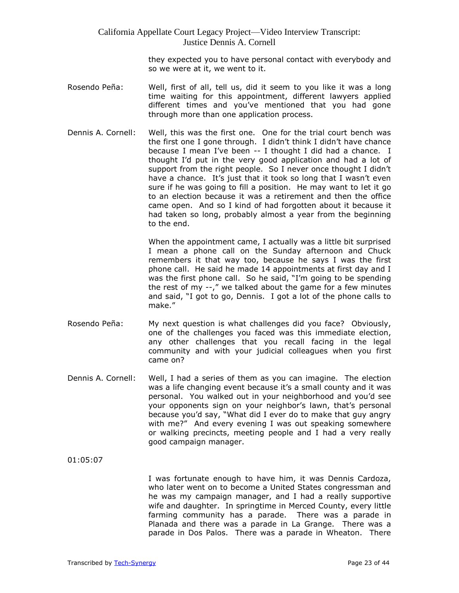they expected you to have personal contact with everybody and so we were at it, we went to it.

- Rosendo Peña: Well, first of all, tell us, did it seem to you like it was a long time waiting for this appointment, different lawyers applied different times and you've mentioned that you had gone through more than one application process.
- Dennis A. Cornell: Well, this was the first one. One for the trial court bench was the first one I gone through. I didn't think I didn't have chance because I mean I've been -- I thought I did had a chance. I thought I'd put in the very good application and had a lot of support from the right people. So I never once thought I didn't have a chance. It's just that it took so long that I wasn't even sure if he was going to fill a position. He may want to let it go to an election because it was a retirement and then the office came open. And so I kind of had forgotten about it because it had taken so long, probably almost a year from the beginning to the end.

When the appointment came, I actually was a little bit surprised I mean a phone call on the Sunday afternoon and Chuck remembers it that way too, because he says I was the first phone call. He said he made 14 appointments at first day and I was the first phone call. So he said, "I'm going to be spending the rest of my --," we talked about the game for a few minutes and said, "I got to go, Dennis. I got a lot of the phone calls to make."

- Rosendo Peña: My next question is what challenges did you face? Obviously, one of the challenges you faced was this immediate election, any other challenges that you recall facing in the legal community and with your judicial colleagues when you first came on?
- Dennis A. Cornell: Well, I had a series of them as you can imagine. The election was a life changing event because it's a small county and it was personal. You walked out in your neighborhood and you'd see your opponents sign on your neighbor's lawn, that's personal because you'd say, "What did I ever do to make that guy angry with me?" And every evening I was out speaking somewhere or walking precincts, meeting people and I had a very really good campaign manager.

01:05:07

I was fortunate enough to have him, it was Dennis Cardoza, who later went on to become a United States congressman and he was my campaign manager, and I had a really supportive wife and daughter. In springtime in Merced County, every little farming community has a parade. There was a parade in Planada and there was a parade in La Grange. There was a parade in Dos Palos. There was a parade in Wheaton. There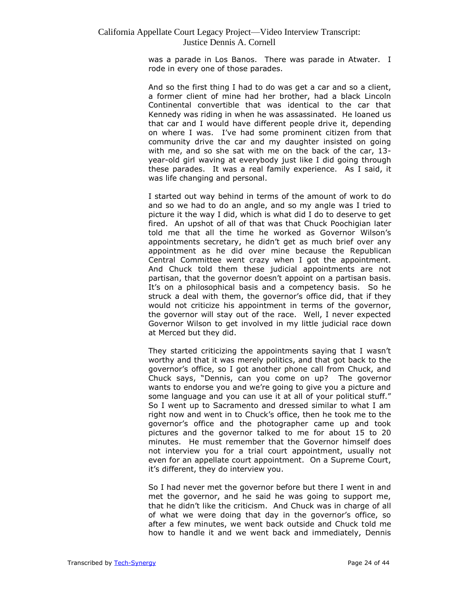was a parade in Los Banos. There was parade in Atwater. I rode in every one of those parades.

And so the first thing I had to do was get a car and so a client, a former client of mine had her brother, had a black Lincoln Continental convertible that was identical to the car that Kennedy was riding in when he was assassinated. He loaned us that car and I would have different people drive it, depending on where I was. I've had some prominent citizen from that community drive the car and my daughter insisted on going with me, and so she sat with me on the back of the car, 13 year-old girl waving at everybody just like I did going through these parades. It was a real family experience. As I said, it was life changing and personal.

I started out way behind in terms of the amount of work to do and so we had to do an angle, and so my angle was I tried to picture it the way I did, which is what did I do to deserve to get fired. An upshot of all of that was that Chuck Poochigian later told me that all the time he worked as Governor Wilson's appointments secretary, he didn't get as much brief over any appointment as he did over mine because the Republican Central Committee went crazy when I got the appointment. And Chuck told them these judicial appointments are not partisan, that the governor doesn't appoint on a partisan basis. It's on a philosophical basis and a competency basis. So he struck a deal with them, the governor's office did, that if they would not criticize his appointment in terms of the governor, the governor will stay out of the race. Well, I never expected Governor Wilson to get involved in my little judicial race down at Merced but they did.

They started criticizing the appointments saying that I wasn't worthy and that it was merely politics, and that got back to the governor's office, so I got another phone call from Chuck, and Chuck says, "Dennis, can you come on up? The governor wants to endorse you and we're going to give you a picture and some language and you can use it at all of your political stuff." So I went up to Sacramento and dressed similar to what I am right now and went in to Chuck's office, then he took me to the governor's office and the photographer came up and took pictures and the governor talked to me for about 15 to 20 minutes. He must remember that the Governor himself does not interview you for a trial court appointment, usually not even for an appellate court appointment. On a Supreme Court, it's different, they do interview you.

So I had never met the governor before but there I went in and met the governor, and he said he was going to support me, that he didn't like the criticism. And Chuck was in charge of all of what we were doing that day in the governor's office, so after a few minutes, we went back outside and Chuck told me how to handle it and we went back and immediately, Dennis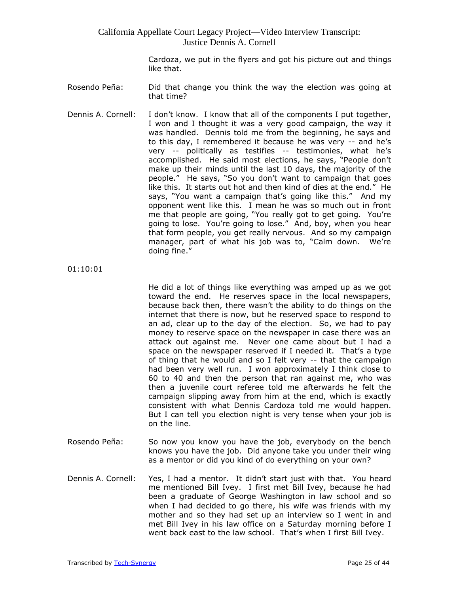> Cardoza, we put in the flyers and got his picture out and things like that.

- Rosendo Peña: Did that change you think the way the election was going at that time?
- Dennis A. Cornell: I don't know. I know that all of the components I put together, I won and I thought it was a very good campaign, the way it was handled. Dennis told me from the beginning, he says and to this day, I remembered it because he was very -- and he's very -- politically as testifies -- testimonies, what he's accomplished. He said most elections, he says, "People don't make up their minds until the last 10 days, the majority of the people." He says, "So you don't want to campaign that goes like this. It starts out hot and then kind of dies at the end." He says, "You want a campaign that's going like this." And my opponent went like this. I mean he was so much out in front me that people are going, "You really got to get going. You're going to lose. You're going to lose." And, boy, when you hear that form people, you get really nervous. And so my campaign manager, part of what his job was to, "Calm down. We're doing fine."

01:10:01

He did a lot of things like everything was amped up as we got toward the end. He reserves space in the local newspapers, because back then, there wasn't the ability to do things on the internet that there is now, but he reserved space to respond to an ad, clear up to the day of the election. So, we had to pay money to reserve space on the newspaper in case there was an attack out against me. Never one came about but I had a space on the newspaper reserved if I needed it. That's a type of thing that he would and so I felt very -- that the campaign had been very well run. I won approximately I think close to 60 to 40 and then the person that ran against me, who was then a juvenile court referee told me afterwards he felt the campaign slipping away from him at the end, which is exactly consistent with what Dennis Cardoza told me would happen. But I can tell you election night is very tense when your job is on the line.

- Rosendo Peña: So now you know you have the job, everybody on the bench knows you have the job. Did anyone take you under their wing as a mentor or did you kind of do everything on your own?
- Dennis A. Cornell: Yes, I had a mentor. It didn't start just with that. You heard me mentioned Bill Ivey. I first met Bill Ivey, because he had been a graduate of George Washington in law school and so when I had decided to go there, his wife was friends with my mother and so they had set up an interview so I went in and met Bill Ivey in his law office on a Saturday morning before I went back east to the law school. That's when I first Bill Ivey.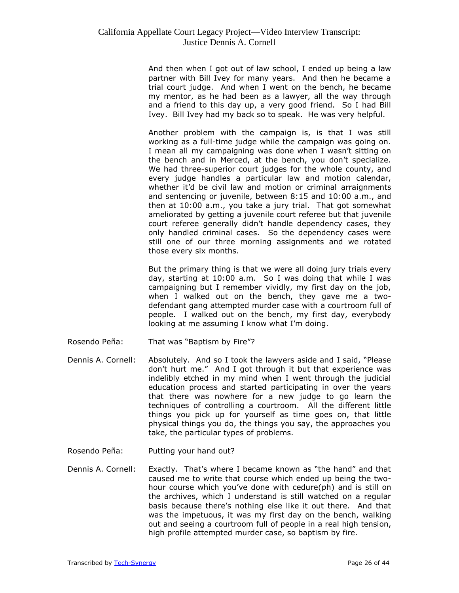And then when I got out of law school, I ended up being a law partner with Bill Ivey for many years. And then he became a trial court judge. And when I went on the bench, he became my mentor, as he had been as a lawyer, all the way through and a friend to this day up, a very good friend. So I had Bill Ivey. Bill Ivey had my back so to speak. He was very helpful.

Another problem with the campaign is, is that I was still working as a full-time judge while the campaign was going on. I mean all my campaigning was done when I wasn't sitting on the bench and in Merced, at the bench, you don't specialize. We had three-superior court judges for the whole county, and every judge handles a particular law and motion calendar, whether it'd be civil law and motion or criminal arraignments and sentencing or juvenile, between 8:15 and 10:00 a.m., and then at 10:00 a.m., you take a jury trial. That got somewhat ameliorated by getting a juvenile court referee but that juvenile court referee generally didn't handle dependency cases, they only handled criminal cases. So the dependency cases were still one of our three morning assignments and we rotated those every six months.

But the primary thing is that we were all doing jury trials every day, starting at 10:00 a.m. So I was doing that while I was campaigning but I remember vividly, my first day on the job, when I walked out on the bench, they gave me a twodefendant gang attempted murder case with a courtroom full of people. I walked out on the bench, my first day, everybody looking at me assuming I know what I'm doing.

- Rosendo Peña: That was "Baptism by Fire"?
- Dennis A. Cornell: Absolutely. And so I took the lawyers aside and I said, "Please don't hurt me." And I got through it but that experience was indelibly etched in my mind when I went through the judicial education process and started participating in over the years that there was nowhere for a new judge to go learn the techniques of controlling a courtroom. All the different little things you pick up for yourself as time goes on, that little physical things you do, the things you say, the approaches you take, the particular types of problems.
- Rosendo Peña: Putting your hand out?
- Dennis A. Cornell: Exactly. That's where I became known as "the hand" and that caused me to write that course which ended up being the twohour course which you've done with cedure(ph) and is still on the archives, which I understand is still watched on a regular basis because there's nothing else like it out there. And that was the impetuous, it was my first day on the bench, walking out and seeing a courtroom full of people in a real high tension, high profile attempted murder case, so baptism by fire.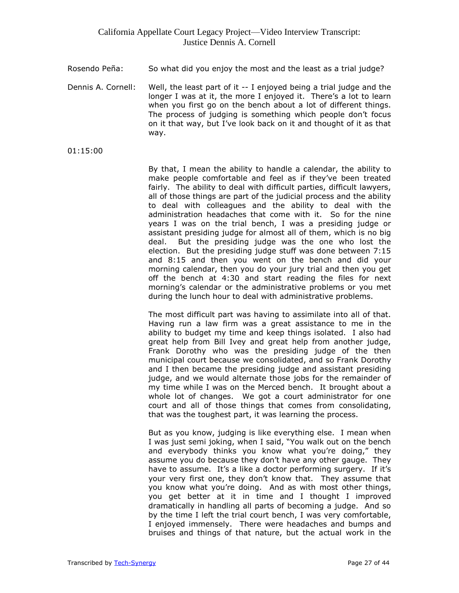- Rosendo Peña: So what did you enjoy the most and the least as a trial judge?
- Dennis A. Cornell: Well, the least part of it -- I enjoyed being a trial judge and the longer I was at it, the more I enjoyed it. There's a lot to learn when you first go on the bench about a lot of different things. The process of judging is something which people don't focus on it that way, but I've look back on it and thought of it as that way.
- 01:15:00

By that, I mean the ability to handle a calendar, the ability to make people comfortable and feel as if they've been treated fairly. The ability to deal with difficult parties, difficult lawyers, all of those things are part of the judicial process and the ability to deal with colleagues and the ability to deal with the administration headaches that come with it. So for the nine years I was on the trial bench, I was a presiding judge or assistant presiding judge for almost all of them, which is no big deal. But the presiding judge was the one who lost the election. But the presiding judge stuff was done between 7:15 and 8:15 and then you went on the bench and did your morning calendar, then you do your jury trial and then you get off the bench at 4:30 and start reading the files for next morning's calendar or the administrative problems or you met during the lunch hour to deal with administrative problems.

The most difficult part was having to assimilate into all of that. Having run a law firm was a great assistance to me in the ability to budget my time and keep things isolated. I also had great help from Bill Ivey and great help from another judge, Frank Dorothy who was the presiding judge of the then municipal court because we consolidated, and so Frank Dorothy and I then became the presiding judge and assistant presiding judge, and we would alternate those jobs for the remainder of my time while I was on the Merced bench. It brought about a whole lot of changes. We got a court administrator for one court and all of those things that comes from consolidating, that was the toughest part, it was learning the process.

But as you know, judging is like everything else. I mean when I was just semi joking, when I said, "You walk out on the bench and everybody thinks you know what you're doing," they assume you do because they don't have any other gauge. They have to assume. It's a like a doctor performing surgery. If it's your very first one, they don't know that. They assume that you know what you're doing. And as with most other things, you get better at it in time and I thought I improved dramatically in handling all parts of becoming a judge. And so by the time I left the trial court bench, I was very comfortable, I enjoyed immensely. There were headaches and bumps and bruises and things of that nature, but the actual work in the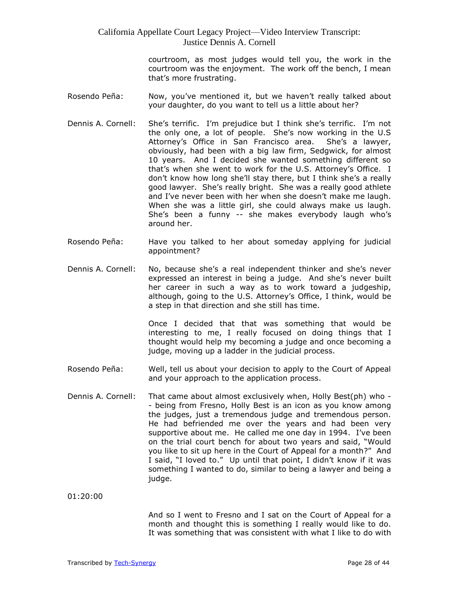courtroom, as most judges would tell you, the work in the courtroom was the enjoyment. The work off the bench, I mean that's more frustrating.

- Rosendo Peña: Now, you've mentioned it, but we haven't really talked about your daughter, do you want to tell us a little about her?
- Dennis A. Cornell: She's terrific. I'm prejudice but I think she's terrific. I'm not the only one, a lot of people. She's now working in the U.S Attorney's Office in San Francisco area. She's a lawyer, obviously, had been with a big law firm, Sedgwick, for almost 10 years. And I decided she wanted something different so that's when she went to work for the U.S. Attorney's Office. I don't know how long she'll stay there, but I think she's a really good lawyer. She's really bright. She was a really good athlete and I've never been with her when she doesn't make me laugh. When she was a little girl, she could always make us laugh. She's been a funny -- she makes everybody laugh who's around her.
- Rosendo Peña: Have you talked to her about someday applying for judicial appointment?
- Dennis A. Cornell: No, because she's a real independent thinker and she's never expressed an interest in being a judge. And she's never built her career in such a way as to work toward a judgeship, although, going to the U.S. Attorney's Office, I think, would be a step in that direction and she still has time.

Once I decided that that was something that would be interesting to me, I really focused on doing things that I thought would help my becoming a judge and once becoming a judge, moving up a ladder in the judicial process.

- Rosendo Peña: Well, tell us about your decision to apply to the Court of Appeal and your approach to the application process.
- Dennis A. Cornell: That came about almost exclusively when, Holly Best(ph) who - being from Fresno, Holly Best is an icon as you know among the judges, just a tremendous judge and tremendous person. He had befriended me over the years and had been very supportive about me. He called me one day in 1994. I've been on the trial court bench for about two years and said, "Would you like to sit up here in the Court of Appeal for a month?" And I said, "I loved to." Up until that point, I didn't know if it was something I wanted to do, similar to being a lawyer and being a judge.

01:20:00

And so I went to Fresno and I sat on the Court of Appeal for a month and thought this is something I really would like to do. It was something that was consistent with what I like to do with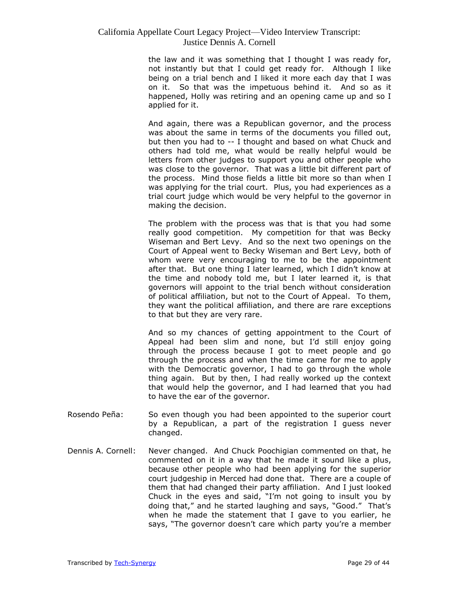the law and it was something that I thought I was ready for, not instantly but that I could get ready for. Although I like being on a trial bench and I liked it more each day that I was on it. So that was the impetuous behind it. And so as it happened, Holly was retiring and an opening came up and so I applied for it.

And again, there was a Republican governor, and the process was about the same in terms of the documents you filled out, but then you had to -- I thought and based on what Chuck and others had told me, what would be really helpful would be letters from other judges to support you and other people who was close to the governor. That was a little bit different part of the process. Mind those fields a little bit more so than when I was applying for the trial court. Plus, you had experiences as a trial court judge which would be very helpful to the governor in making the decision.

The problem with the process was that is that you had some really good competition. My competition for that was Becky Wiseman and Bert Levy. And so the next two openings on the Court of Appeal went to Becky Wiseman and Bert Levy, both of whom were very encouraging to me to be the appointment after that. But one thing I later learned, which I didn't know at the time and nobody told me, but I later learned it, is that governors will appoint to the trial bench without consideration of political affiliation, but not to the Court of Appeal. To them, they want the political affiliation, and there are rare exceptions to that but they are very rare.

And so my chances of getting appointment to the Court of Appeal had been slim and none, but I'd still enjoy going through the process because I got to meet people and go through the process and when the time came for me to apply with the Democratic governor, I had to go through the whole thing again. But by then, I had really worked up the context that would help the governor, and I had learned that you had to have the ear of the governor.

- Rosendo Peña: So even though you had been appointed to the superior court by a Republican, a part of the registration I guess never changed.
- Dennis A. Cornell: Never changed. And Chuck Poochigian commented on that, he commented on it in a way that he made it sound like a plus, because other people who had been applying for the superior court judgeship in Merced had done that. There are a couple of them that had changed their party affiliation. And I just looked Chuck in the eyes and said, "I'm not going to insult you by doing that," and he started laughing and says, "Good." That's when he made the statement that I gave to you earlier, he says, "The governor doesn't care which party you're a member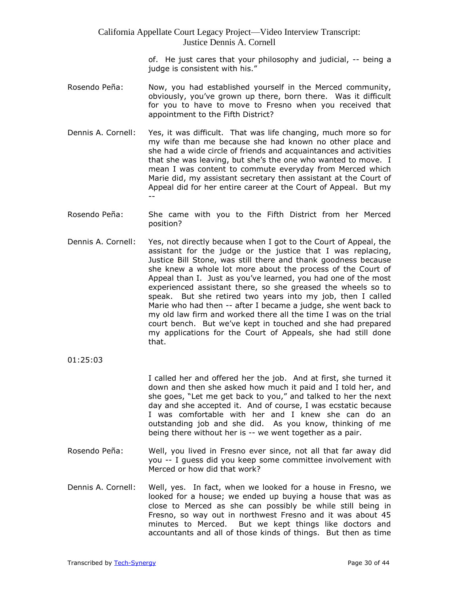> of. He just cares that your philosophy and judicial, -- being a judge is consistent with his."

- Rosendo Peña: Now, you had established yourself in the Merced community, obviously, you've grown up there, born there. Was it difficult for you to have to move to Fresno when you received that appointment to the Fifth District?
- Dennis A. Cornell: Yes, it was difficult. That was life changing, much more so for my wife than me because she had known no other place and she had a wide circle of friends and acquaintances and activities that she was leaving, but she's the one who wanted to move. I mean I was content to commute everyday from Merced which Marie did, my assistant secretary then assistant at the Court of Appeal did for her entire career at the Court of Appeal. But my --
- Rosendo Peña: She came with you to the Fifth District from her Merced position?
- Dennis A. Cornell: Yes, not directly because when I got to the Court of Appeal, the assistant for the judge or the justice that I was replacing, Justice Bill Stone, was still there and thank goodness because she knew a whole lot more about the process of the Court of Appeal than I. Just as you've learned, you had one of the most experienced assistant there, so she greased the wheels so to speak. But she retired two years into my job, then I called Marie who had then -- after I became a judge, she went back to my old law firm and worked there all the time I was on the trial court bench. But we've kept in touched and she had prepared my applications for the Court of Appeals, she had still done that.
- 01:25:03

I called her and offered her the job. And at first, she turned it down and then she asked how much it paid and I told her, and she goes, "Let me get back to you," and talked to her the next day and she accepted it. And of course, I was ecstatic because I was comfortable with her and I knew she can do an outstanding job and she did. As you know, thinking of me being there without her is -- we went together as a pair.

- Rosendo Peña: Well, you lived in Fresno ever since, not all that far away did you -- I guess did you keep some committee involvement with Merced or how did that work?
- Dennis A. Cornell: Well, yes. In fact, when we looked for a house in Fresno, we looked for a house; we ended up buying a house that was as close to Merced as she can possibly be while still being in Fresno, so way out in northwest Fresno and it was about 45 minutes to Merced. But we kept things like doctors and accountants and all of those kinds of things. But then as time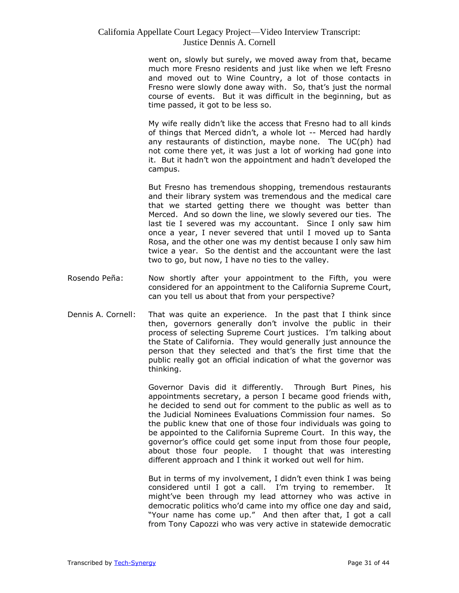went on, slowly but surely, we moved away from that, became much more Fresno residents and just like when we left Fresno and moved out to Wine Country, a lot of those contacts in Fresno were slowly done away with. So, that's just the normal course of events. But it was difficult in the beginning, but as time passed, it got to be less so.

My wife really didn't like the access that Fresno had to all kinds of things that Merced didn't, a whole lot -- Merced had hardly any restaurants of distinction, maybe none. The UC(ph) had not come there yet, it was just a lot of working had gone into it. But it hadn't won the appointment and hadn't developed the campus.

But Fresno has tremendous shopping, tremendous restaurants and their library system was tremendous and the medical care that we started getting there we thought was better than Merced. And so down the line, we slowly severed our ties. The last tie I severed was my accountant. Since I only saw him once a year, I never severed that until I moved up to Santa Rosa, and the other one was my dentist because I only saw him twice a year. So the dentist and the accountant were the last two to go, but now, I have no ties to the valley.

- Rosendo Peña: Now shortly after your appointment to the Fifth, you were considered for an appointment to the California Supreme Court, can you tell us about that from your perspective?
- Dennis A. Cornell: That was quite an experience. In the past that I think since then, governors generally don't involve the public in their process of selecting Supreme Court justices. I'm talking about the State of California. They would generally just announce the person that they selected and that's the first time that the public really got an official indication of what the governor was thinking.

Governor Davis did it differently. Through Burt Pines, his appointments secretary, a person I became good friends with, he decided to send out for comment to the public as well as to the Judicial Nominees Evaluations Commission four names. So the public knew that one of those four individuals was going to be appointed to the California Supreme Court. In this way, the governor's office could get some input from those four people, about those four people. I thought that was interesting different approach and I think it worked out well for him.

But in terms of my involvement, I didn't even think I was being considered until I got a call. I'm trying to remember. It might've been through my lead attorney who was active in democratic politics who'd came into my office one day and said, "Your name has come up." And then after that, I got a call from Tony Capozzi who was very active in statewide democratic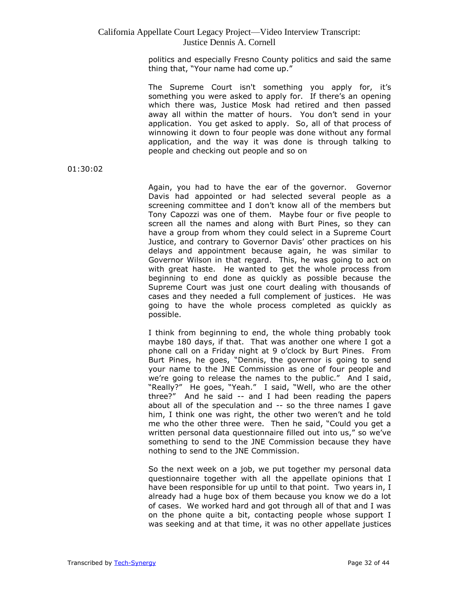politics and especially Fresno County politics and said the same thing that, "Your name had come up."

The Supreme Court isn't something you apply for, it's something you were asked to apply for. If there's an opening which there was, Justice Mosk had retired and then passed away all within the matter of hours. You don't send in your application. You get asked to apply. So, all of that process of winnowing it down to four people was done without any formal application, and the way it was done is through talking to people and checking out people and so on

01:30:02

Again, you had to have the ear of the governor. Governor Davis had appointed or had selected several people as a screening committee and I don't know all of the members but Tony Capozzi was one of them. Maybe four or five people to screen all the names and along with Burt Pines, so they can have a group from whom they could select in a Supreme Court Justice, and contrary to Governor Davis' other practices on his delays and appointment because again, he was similar to Governor Wilson in that regard. This, he was going to act on with great haste. He wanted to get the whole process from beginning to end done as quickly as possible because the Supreme Court was just one court dealing with thousands of cases and they needed a full complement of justices. He was going to have the whole process completed as quickly as possible.

I think from beginning to end, the whole thing probably took maybe 180 days, if that. That was another one where I got a phone call on a Friday night at 9 o'clock by Burt Pines. From Burt Pines, he goes, "Dennis, the governor is going to send your name to the JNE Commission as one of four people and we're going to release the names to the public." And I said, "Really?" He goes, "Yeah." I said, "Well, who are the other three?" And he said -- and I had been reading the papers about all of the speculation and -- so the three names I gave him, I think one was right, the other two weren't and he told me who the other three were. Then he said, "Could you get a written personal data questionnaire filled out into us," so we've something to send to the JNE Commission because they have nothing to send to the JNE Commission.

So the next week on a job, we put together my personal data questionnaire together with all the appellate opinions that I have been responsible for up until to that point. Two years in, I already had a huge box of them because you know we do a lot of cases. We worked hard and got through all of that and I was on the phone quite a bit, contacting people whose support I was seeking and at that time, it was no other appellate justices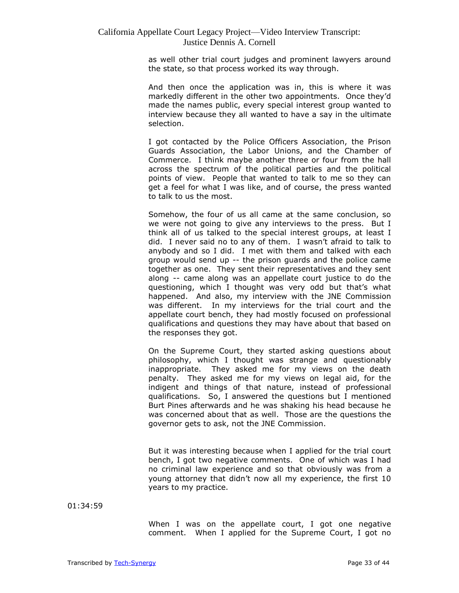as well other trial court judges and prominent lawyers around the state, so that process worked its way through.

And then once the application was in, this is where it was markedly different in the other two appointments. Once they'd made the names public, every special interest group wanted to interview because they all wanted to have a say in the ultimate selection.

I got contacted by the Police Officers Association, the Prison Guards Association, the Labor Unions, and the Chamber of Commerce. I think maybe another three or four from the hall across the spectrum of the political parties and the political points of view. People that wanted to talk to me so they can get a feel for what I was like, and of course, the press wanted to talk to us the most.

Somehow, the four of us all came at the same conclusion, so we were not going to give any interviews to the press. But I think all of us talked to the special interest groups, at least I did. I never said no to any of them. I wasn't afraid to talk to anybody and so I did. I met with them and talked with each group would send up -- the prison guards and the police came together as one. They sent their representatives and they sent along -- came along was an appellate court justice to do the questioning, which I thought was very odd but that's what happened. And also, my interview with the JNE Commission was different. In my interviews for the trial court and the appellate court bench, they had mostly focused on professional qualifications and questions they may have about that based on the responses they got.

On the Supreme Court, they started asking questions about philosophy, which I thought was strange and questionably inappropriate. They asked me for my views on the death penalty. They asked me for my views on legal aid, for the indigent and things of that nature, instead of professional qualifications. So, I answered the questions but I mentioned Burt Pines afterwards and he was shaking his head because he was concerned about that as well. Those are the questions the governor gets to ask, not the JNE Commission.

But it was interesting because when I applied for the trial court bench, I got two negative comments. One of which was I had no criminal law experience and so that obviously was from a young attorney that didn't now all my experience, the first 10 years to my practice.

01:34:59

When I was on the appellate court, I got one negative comment. When I applied for the Supreme Court, I got no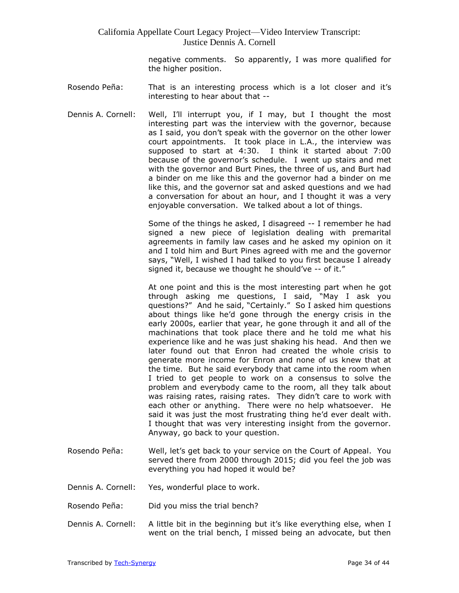negative comments. So apparently, I was more qualified for the higher position.

- Rosendo Peña: That is an interesting process which is a lot closer and it's interesting to hear about that --
- Dennis A. Cornell: Well, I'll interrupt you, if I may, but I thought the most interesting part was the interview with the governor, because as I said, you don't speak with the governor on the other lower court appointments. It took place in L.A., the interview was supposed to start at 4:30. I think it started about 7:00 because of the governor's schedule. I went up stairs and met with the governor and Burt Pines, the three of us, and Burt had a binder on me like this and the governor had a binder on me like this, and the governor sat and asked questions and we had a conversation for about an hour, and I thought it was a very enjoyable conversation. We talked about a lot of things.

Some of the things he asked, I disagreed -- I remember he had signed a new piece of legislation dealing with premarital agreements in family law cases and he asked my opinion on it and I told him and Burt Pines agreed with me and the governor says, "Well, I wished I had talked to you first because I already signed it, because we thought he should've -- of it."

At one point and this is the most interesting part when he got through asking me questions, I said, "May I ask you questions?" And he said, "Certainly." So I asked him questions about things like he'd gone through the energy crisis in the early 2000s, earlier that year, he gone through it and all of the machinations that took place there and he told me what his experience like and he was just shaking his head. And then we later found out that Enron had created the whole crisis to generate more income for Enron and none of us knew that at the time. But he said everybody that came into the room when I tried to get people to work on a consensus to solve the problem and everybody came to the room, all they talk about was raising rates, raising rates. They didn't care to work with each other or anything. There were no help whatsoever. He said it was just the most frustrating thing he'd ever dealt with. I thought that was very interesting insight from the governor. Anyway, go back to your question.

- Rosendo Peña: Well, let's get back to your service on the Court of Appeal. You served there from 2000 through 2015; did you feel the job was everything you had hoped it would be?
- Dennis A. Cornell: Yes, wonderful place to work.
- Rosendo Peña: Did you miss the trial bench?
- Dennis A. Cornell: A little bit in the beginning but it's like everything else, when I went on the trial bench, I missed being an advocate, but then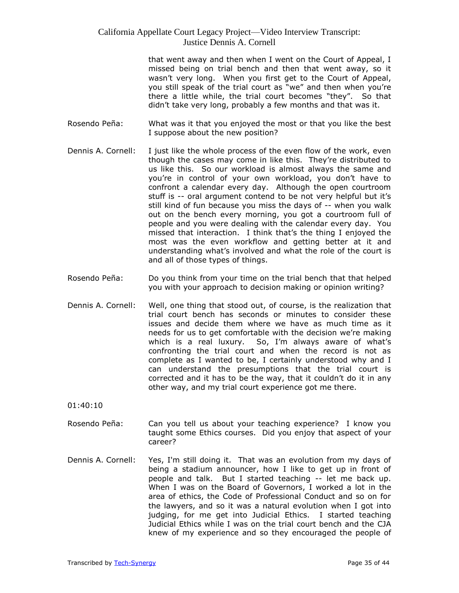that went away and then when I went on the Court of Appeal, I missed being on trial bench and then that went away, so it wasn't very long. When you first get to the Court of Appeal, you still speak of the trial court as "we" and then when you're there a little while, the trial court becomes "they". So that didn't take very long, probably a few months and that was it.

- Rosendo Peña: What was it that you enjoyed the most or that you like the best I suppose about the new position?
- Dennis A. Cornell: I just like the whole process of the even flow of the work, even though the cases may come in like this. They're distributed to us like this. So our workload is almost always the same and you're in control of your own workload, you don't have to confront a calendar every day. Although the open courtroom stuff is -- oral argument contend to be not very helpful but it's still kind of fun because you miss the days of -- when you walk out on the bench every morning, you got a courtroom full of people and you were dealing with the calendar every day. You missed that interaction. I think that's the thing I enjoyed the most was the even workflow and getting better at it and understanding what's involved and what the role of the court is and all of those types of things.
- Rosendo Peña: Do you think from your time on the trial bench that that helped you with your approach to decision making or opinion writing?
- Dennis A. Cornell: Well, one thing that stood out, of course, is the realization that trial court bench has seconds or minutes to consider these issues and decide them where we have as much time as it needs for us to get comfortable with the decision we're making which is a real luxury. So, I'm always aware of what's confronting the trial court and when the record is not as complete as I wanted to be, I certainly understood why and I can understand the presumptions that the trial court is corrected and it has to be the way, that it couldn't do it in any other way, and my trial court experience got me there.

01:40:10

- Rosendo Peña: Can you tell us about your teaching experience? I know you taught some Ethics courses. Did you enjoy that aspect of your career?
- Dennis A. Cornell: Yes, I'm still doing it. That was an evolution from my days of being a stadium announcer, how I like to get up in front of people and talk. But I started teaching -- let me back up. When I was on the Board of Governors, I worked a lot in the area of ethics, the Code of Professional Conduct and so on for the lawyers, and so it was a natural evolution when I got into judging, for me get into Judicial Ethics. I started teaching Judicial Ethics while I was on the trial court bench and the CJA knew of my experience and so they encouraged the people of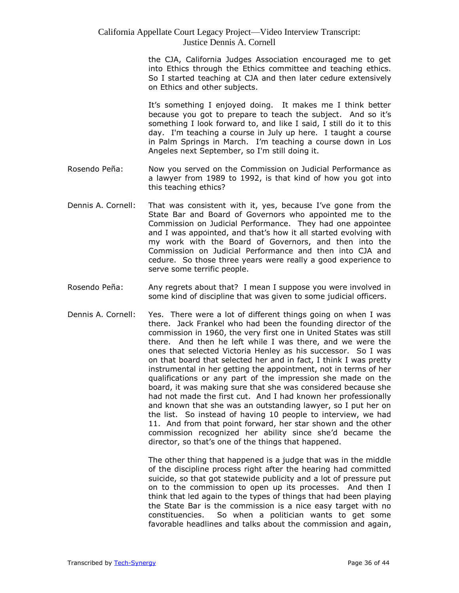the CJA, California Judges Association encouraged me to get into Ethics through the Ethics committee and teaching ethics. So I started teaching at CJA and then later cedure extensively on Ethics and other subjects.

It's something I enjoyed doing. It makes me I think better because you got to prepare to teach the subject. And so it's something I look forward to, and like I said, I still do it to this day. I'm teaching a course in July up here. I taught a course in Palm Springs in March. I'm teaching a course down in Los Angeles next September, so I'm still doing it.

- Rosendo Peña: Now you served on the Commission on Judicial Performance as a lawyer from 1989 to 1992, is that kind of how you got into this teaching ethics?
- Dennis A. Cornell: That was consistent with it, yes, because I've gone from the State Bar and Board of Governors who appointed me to the Commission on Judicial Performance. They had one appointee and I was appointed, and that's how it all started evolving with my work with the Board of Governors, and then into the Commission on Judicial Performance and then into CJA and cedure. So those three years were really a good experience to serve some terrific people.
- Rosendo Peña: Any regrets about that? I mean I suppose you were involved in some kind of discipline that was given to some judicial officers.
- Dennis A. Cornell: Yes. There were a lot of different things going on when I was there. Jack Frankel who had been the founding director of the commission in 1960, the very first one in United States was still there. And then he left while I was there, and we were the ones that selected Victoria Henley as his successor. So I was on that board that selected her and in fact, I think I was pretty instrumental in her getting the appointment, not in terms of her qualifications or any part of the impression she made on the board, it was making sure that she was considered because she had not made the first cut. And I had known her professionally and known that she was an outstanding lawyer, so I put her on the list. So instead of having 10 people to interview, we had 11. And from that point forward, her star shown and the other commission recognized her ability since she'd became the director, so that's one of the things that happened.

The other thing that happened is a judge that was in the middle of the discipline process right after the hearing had committed suicide, so that got statewide publicity and a lot of pressure put on to the commission to open up its processes. And then I think that led again to the types of things that had been playing the State Bar is the commission is a nice easy target with no constituencies. So when a politician wants to get some favorable headlines and talks about the commission and again,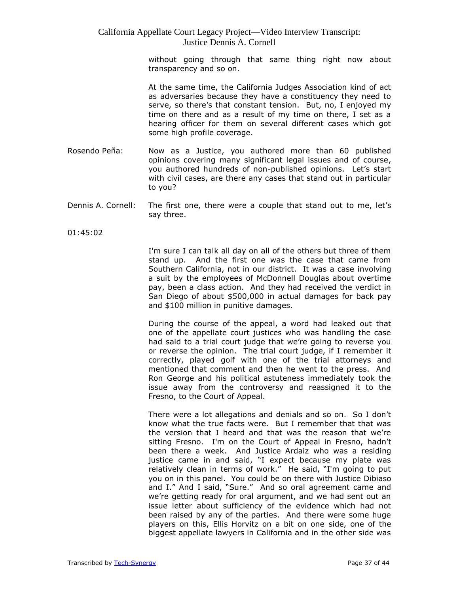without going through that same thing right now about transparency and so on.

At the same time, the California Judges Association kind of act as adversaries because they have a constituency they need to serve, so there's that constant tension. But, no, I enjoyed my time on there and as a result of my time on there, I set as a hearing officer for them on several different cases which got some high profile coverage.

- Rosendo Peña: Now as a Justice, you authored more than 60 published opinions covering many significant legal issues and of course, you authored hundreds of non-published opinions. Let's start with civil cases, are there any cases that stand out in particular to you?
- Dennis A. Cornell: The first one, there were a couple that stand out to me, let's say three.

01:45:02

I'm sure I can talk all day on all of the others but three of them stand up. And the first one was the case that came from Southern California, not in our district. It was a case involving a suit by the employees of McDonnell Douglas about overtime pay, been a class action. And they had received the verdict in San Diego of about \$500,000 in actual damages for back pay and \$100 million in punitive damages.

During the course of the appeal, a word had leaked out that one of the appellate court justices who was handling the case had said to a trial court judge that we're going to reverse you or reverse the opinion. The trial court judge, if I remember it correctly, played golf with one of the trial attorneys and mentioned that comment and then he went to the press. And Ron George and his political astuteness immediately took the issue away from the controversy and reassigned it to the Fresno, to the Court of Appeal.

There were a lot allegations and denials and so on. So I don't know what the true facts were. But I remember that that was the version that I heard and that was the reason that we're sitting Fresno. I'm on the Court of Appeal in Fresno, hadn't been there a week. And Justice Ardaiz who was a residing justice came in and said, "I expect because my plate was relatively clean in terms of work." He said, "I'm going to put you on in this panel. You could be on there with Justice Dibiaso and I." And I said, "Sure." And so oral agreement came and we're getting ready for oral argument, and we had sent out an issue letter about sufficiency of the evidence which had not been raised by any of the parties. And there were some huge players on this, Ellis Horvitz on a bit on one side, one of the biggest appellate lawyers in California and in the other side was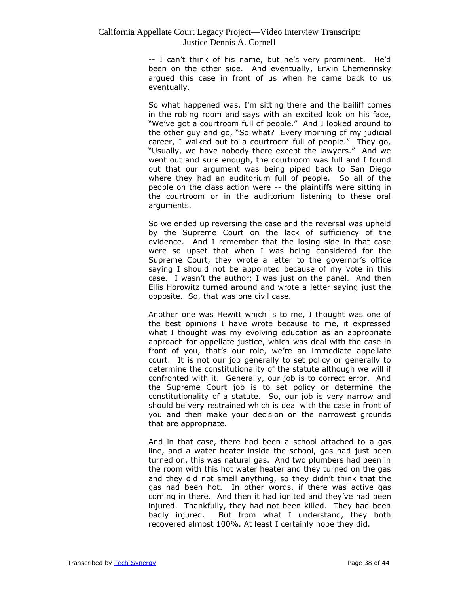-- I can't think of his name, but he's very prominent. He'd been on the other side. And eventually, Erwin Chemerinsky argued this case in front of us when he came back to us eventually.

So what happened was, I'm sitting there and the bailiff comes in the robing room and says with an excited look on his face, "We've got a courtroom full of people." And I looked around to the other guy and go, "So what? Every morning of my judicial career, I walked out to a courtroom full of people." They go, "Usually, we have nobody there except the lawyers." And we went out and sure enough, the courtroom was full and I found out that our argument was being piped back to San Diego where they had an auditorium full of people. So all of the people on the class action were -- the plaintiffs were sitting in the courtroom or in the auditorium listening to these oral arguments.

So we ended up reversing the case and the reversal was upheld by the Supreme Court on the lack of sufficiency of the evidence. And I remember that the losing side in that case were so upset that when I was being considered for the Supreme Court, they wrote a letter to the governor's office saying I should not be appointed because of my vote in this case. I wasn't the author; I was just on the panel. And then Ellis Horowitz turned around and wrote a letter saying just the opposite. So, that was one civil case.

Another one was Hewitt which is to me, I thought was one of the best opinions I have wrote because to me, it expressed what I thought was my evolving education as an appropriate approach for appellate justice, which was deal with the case in front of you, that's our role, we're an immediate appellate court. It is not our job generally to set policy or generally to determine the constitutionality of the statute although we will if confronted with it. Generally, our job is to correct error. And the Supreme Court job is to set policy or determine the constitutionality of a statute. So, our job is very narrow and should be very restrained which is deal with the case in front of you and then make your decision on the narrowest grounds that are appropriate.

And in that case, there had been a school attached to a gas line, and a water heater inside the school, gas had just been turned on, this was natural gas. And two plumbers had been in the room with this hot water heater and they turned on the gas and they did not smell anything, so they didn't think that the gas had been hot. In other words, if there was active gas coming in there. And then it had ignited and they've had been injured. Thankfully, they had not been killed. They had been badly injured. But from what I understand, they both recovered almost 100%. At least I certainly hope they did.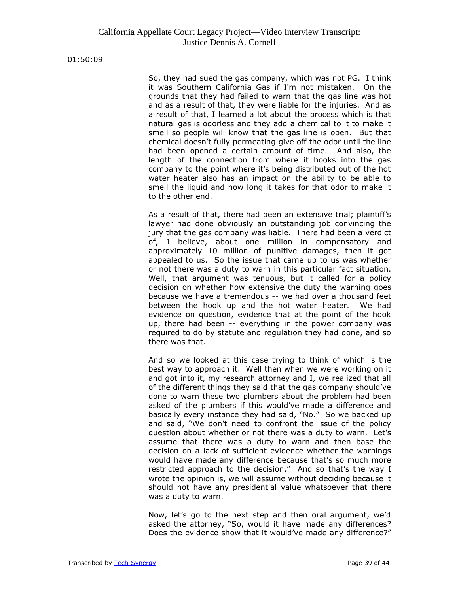01:50:09

So, they had sued the gas company, which was not PG. I think it was Southern California Gas if I'm not mistaken. On the grounds that they had failed to warn that the gas line was hot and as a result of that, they were liable for the injuries. And as a result of that, I learned a lot about the process which is that natural gas is odorless and they add a chemical to it to make it smell so people will know that the gas line is open. But that chemical doesn't fully permeating give off the odor until the line had been opened a certain amount of time. And also, the length of the connection from where it hooks into the gas company to the point where it's being distributed out of the hot water heater also has an impact on the ability to be able to smell the liquid and how long it takes for that odor to make it to the other end.

As a result of that, there had been an extensive trial; plaintiff's lawyer had done obviously an outstanding job convincing the jury that the gas company was liable. There had been a verdict of, I believe, about one million in compensatory and approximately 10 million of punitive damages, then it got appealed to us. So the issue that came up to us was whether or not there was a duty to warn in this particular fact situation. Well, that argument was tenuous, but it called for a policy decision on whether how extensive the duty the warning goes because we have a tremendous -- we had over a thousand feet between the hook up and the hot water heater. We had evidence on question, evidence that at the point of the hook up, there had been -- everything in the power company was required to do by statute and regulation they had done, and so there was that.

And so we looked at this case trying to think of which is the best way to approach it. Well then when we were working on it and got into it, my research attorney and I, we realized that all of the different things they said that the gas company should've done to warn these two plumbers about the problem had been asked of the plumbers if this would've made a difference and basically every instance they had said, "No." So we backed up and said, "We don't need to confront the issue of the policy question about whether or not there was a duty to warn. Let's assume that there was a duty to warn and then base the decision on a lack of sufficient evidence whether the warnings would have made any difference because that's so much more restricted approach to the decision." And so that's the way I wrote the opinion is, we will assume without deciding because it should not have any presidential value whatsoever that there was a duty to warn.

Now, let's go to the next step and then oral argument, we'd asked the attorney, "So, would it have made any differences? Does the evidence show that it would've made any difference?"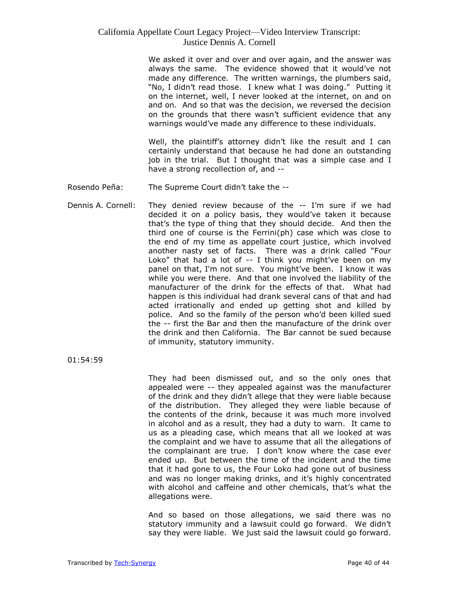We asked it over and over and over again, and the answer was always the same. The evidence showed that it would've not made any difference. The written warnings, the plumbers said, "No, I didn't read those. I knew what I was doing." Putting it on the internet, well, I never looked at the internet, on and on and on. And so that was the decision, we reversed the decision on the grounds that there wasn't sufficient evidence that any warnings would've made any difference to these individuals.

Well, the plaintiff's attorney didn't like the result and I can certainly understand that because he had done an outstanding job in the trial. But I thought that was a simple case and I have a strong recollection of, and --

- Rosendo Peña: The Supreme Court didn't take the --
- Dennis A. Cornell: They denied review because of the -- I'm sure if we had decided it on a policy basis, they would've taken it because that's the type of thing that they should decide. And then the third one of course is the Ferrini(ph) case which was close to the end of my time as appellate court justice, which involved another nasty set of facts. There was a drink called "Four Loko" that had a lot of -- I think you might've been on my panel on that, I'm not sure. You might've been. I know it was while you were there. And that one involved the liability of the manufacturer of the drink for the effects of that. What had happen is this individual had drank several cans of that and had acted irrationally and ended up getting shot and killed by police. And so the family of the person who'd been killed sued the -- first the Bar and then the manufacture of the drink over the drink and then California. The Bar cannot be sued because of immunity, statutory immunity.

01:54:59

They had been dismissed out, and so the only ones that appealed were -- they appealed against was the manufacturer of the drink and they didn't allege that they were liable because of the distribution. They alleged they were liable because of the contents of the drink, because it was much more involved in alcohol and as a result, they had a duty to warn. It came to us as a pleading case, which means that all we looked at was the complaint and we have to assume that all the allegations of the complainant are true. I don't know where the case ever ended up. But between the time of the incident and the time that it had gone to us, the Four Loko had gone out of business and was no longer making drinks, and it's highly concentrated with alcohol and caffeine and other chemicals, that's what the allegations were.

And so based on those allegations, we said there was no statutory immunity and a lawsuit could go forward. We didn't say they were liable. We just said the lawsuit could go forward.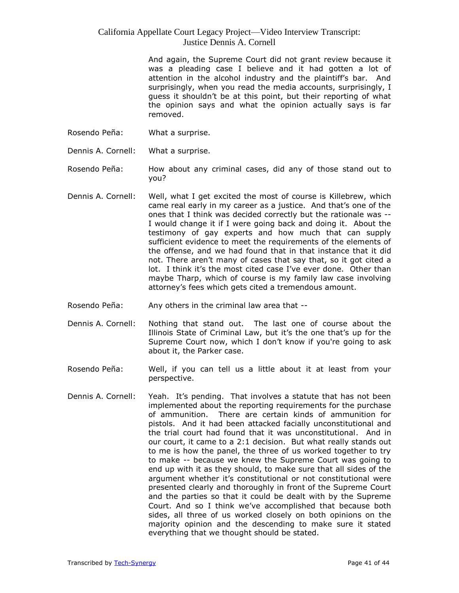And again, the Supreme Court did not grant review because it was a pleading case I believe and it had gotten a lot of attention in the alcohol industry and the plaintiff's bar. And surprisingly, when you read the media accounts, surprisingly, I guess it shouldn't be at this point, but their reporting of what the opinion says and what the opinion actually says is far removed.

- Rosendo Peña: What a surprise.
- Dennis A. Cornell: What a surprise.
- Rosendo Peña: How about any criminal cases, did any of those stand out to you?
- Dennis A. Cornell: Well, what I get excited the most of course is Killebrew, which came real early in my career as a justice. And that's one of the ones that I think was decided correctly but the rationale was -- I would change it if I were going back and doing it. About the testimony of gay experts and how much that can supply sufficient evidence to meet the requirements of the elements of the offense, and we had found that in that instance that it did not. There aren't many of cases that say that, so it got cited a lot. I think it's the most cited case I've ever done. Other than maybe Tharp, which of course is my family law case involving attorney's fees which gets cited a tremendous amount.
- Rosendo Peña: Any others in the criminal law area that --
- Dennis A. Cornell: Nothing that stand out. The last one of course about the Illinois State of Criminal Law, but it's the one that's up for the Supreme Court now, which I don't know if you're going to ask about it, the Parker case.
- Rosendo Peña: Well, if you can tell us a little about it at least from your perspective.
- Dennis A. Cornell: Yeah. It's pending. That involves a statute that has not been implemented about the reporting requirements for the purchase of ammunition. There are certain kinds of ammunition for pistols. And it had been attacked facially unconstitutional and the trial court had found that it was unconstitutional. And in our court, it came to a 2:1 decision. But what really stands out to me is how the panel, the three of us worked together to try to make -- because we knew the Supreme Court was going to end up with it as they should, to make sure that all sides of the argument whether it's constitutional or not constitutional were presented clearly and thoroughly in front of the Supreme Court and the parties so that it could be dealt with by the Supreme Court. And so I think we've accomplished that because both sides, all three of us worked closely on both opinions on the majority opinion and the descending to make sure it stated everything that we thought should be stated.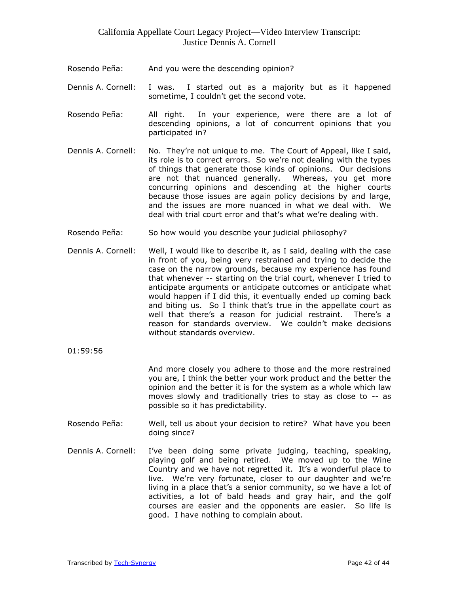- Rosendo Peña: And you were the descending opinion?
- Dennis A. Cornell: I was. I started out as a majority but as it happened sometime, I couldn't get the second vote.
- Rosendo Peña: All right. In your experience, were there are a lot of descending opinions, a lot of concurrent opinions that you participated in?
- Dennis A. Cornell: No. They're not unique to me. The Court of Appeal, like I said, its role is to correct errors. So we're not dealing with the types of things that generate those kinds of opinions. Our decisions are not that nuanced generally. Whereas, you get more concurring opinions and descending at the higher courts because those issues are again policy decisions by and large, and the issues are more nuanced in what we deal with. We deal with trial court error and that's what we're dealing with.
- Rosendo Peña: So how would you describe your judicial philosophy?
- Dennis A. Cornell: Well, I would like to describe it, as I said, dealing with the case in front of you, being very restrained and trying to decide the case on the narrow grounds, because my experience has found that whenever -- starting on the trial court, whenever I tried to anticipate arguments or anticipate outcomes or anticipate what would happen if I did this, it eventually ended up coming back and biting us. So I think that's true in the appellate court as well that there's a reason for judicial restraint. There's a reason for standards overview. We couldn't make decisions without standards overview.
- 01:59:56

And more closely you adhere to those and the more restrained you are, I think the better your work product and the better the opinion and the better it is for the system as a whole which law moves slowly and traditionally tries to stay as close to -- as possible so it has predictability.

- Rosendo Peña: Well, tell us about your decision to retire? What have you been doing since?
- Dennis A. Cornell: I've been doing some private judging, teaching, speaking, playing golf and being retired. We moved up to the Wine Country and we have not regretted it. It's a wonderful place to live. We're very fortunate, closer to our daughter and we're living in a place that's a senior community, so we have a lot of activities, a lot of bald heads and gray hair, and the golf courses are easier and the opponents are easier. So life is good. I have nothing to complain about.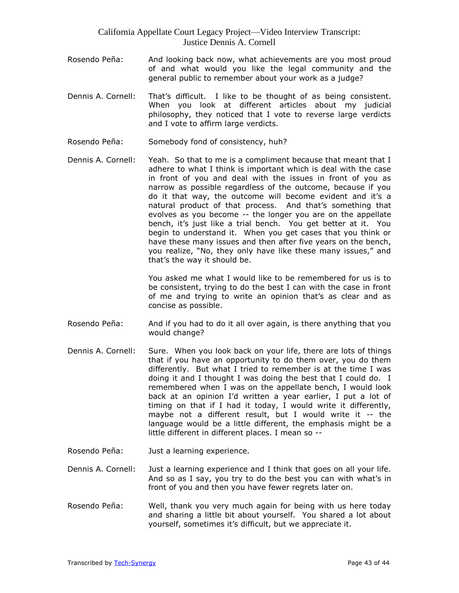- Rosendo Peña: And looking back now, what achievements are you most proud of and what would you like the legal community and the general public to remember about your work as a judge?
- Dennis A. Cornell: That's difficult. I like to be thought of as being consistent. When you look at different articles about my judicial philosophy, they noticed that I vote to reverse large verdicts and I vote to affirm large verdicts.
- Rosendo Peña: Somebody fond of consistency, huh?
- Dennis A. Cornell: Yeah. So that to me is a compliment because that meant that I adhere to what I think is important which is deal with the case in front of you and deal with the issues in front of you as narrow as possible regardless of the outcome, because if you do it that way, the outcome will become evident and it's a natural product of that process. And that's something that evolves as you become -- the longer you are on the appellate bench, it's just like a trial bench. You get better at it. You begin to understand it. When you get cases that you think or have these many issues and then after five years on the bench, you realize, "No, they only have like these many issues," and that's the way it should be.

You asked me what I would like to be remembered for us is to be consistent, trying to do the best I can with the case in front of me and trying to write an opinion that's as clear and as concise as possible.

- Rosendo Peña: And if you had to do it all over again, is there anything that you would change?
- Dennis A. Cornell: Sure. When you look back on your life, there are lots of things that if you have an opportunity to do them over, you do them differently. But what I tried to remember is at the time I was doing it and I thought I was doing the best that I could do. I remembered when I was on the appellate bench, I would look back at an opinion I'd written a year earlier, I put a lot of timing on that if I had it today, I would write it differently, maybe not a different result, but I would write it -- the language would be a little different, the emphasis might be a little different in different places. I mean so --
- Rosendo Peña: Just a learning experience.
- Dennis A. Cornell: Just a learning experience and I think that goes on all your life. And so as I say, you try to do the best you can with what's in front of you and then you have fewer regrets later on.
- Rosendo Peña: Well, thank you very much again for being with us here today and sharing a little bit about yourself. You shared a lot about yourself, sometimes it's difficult, but we appreciate it.